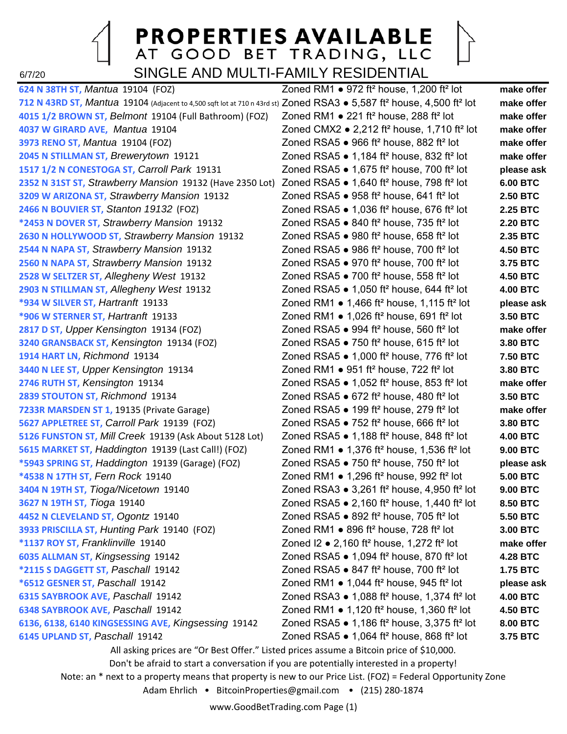### **PROPERTIES AVAILABLE** AT GOOD BET TRADING, LLC 6/7/20 SINGLE AND MULTI-FAMILY RESIDENTIAL

**624 N 38TH ST,** *Mantua* 19104 (FOZ) Zoned RM1 ● 972 ft² house, 1,200 ft² lot **make offer 712 N 43RD ST,** *Mantua* 19104 (Adjacent to 4,500 sqft lot at 710 n 43rd st) Zoned RSA3 ● 5,587 ft² house, 4,500 ft² lot **make offer 4015 1/2 BROWN ST,** *Belmont* 19104 (Full Bathroom) (FOZ) Zoned RM1 ● 221 ft² house, 288 ft² lot **make offer 4037 W GIRARD AVE,** *Mantua* 19104 Zoned CMX2 ● 2,212 ft² house, 1,710 ft² lot **make offer 3973 RENO ST,** *Mantua* 19104 (FOZ) Zoned RSA5 ● 966 ft² house, 882 ft² lot **make offer 2045 N STILLMAN ST,** *Brewerytown* 19121 Zoned RSA5 ● 1,184 ft² house, 832 ft² lot **make offer 1517 1/2 N CONESTOGA ST,** *Carroll Park* 19131 Zoned RSA5 ● 1,675 ft² house, 700 ft² lot **please ask 2352 N 31ST ST,** *Strawberry Mansion* 19132 (Have 2350 Lot) Zoned RSA5 ● 1,640 ft² house, 798 ft² lot **6.00 BTC 3209 W ARIZONA ST,** *Strawberry Mansion* 19132 Zoned RSA5 ● 958 ft² house, 641 ft² lot **2.50 BTC 2466 N BOUVIER ST,** *Stanton 19132* (FOZ) Zoned RSA5 ● 1,036 ft² house, 676 ft² lot **2.25 BTC \*2453 N DOVER ST,** *Strawberry Mansion* 19132 Zoned RSA5 ● 840 ft² house, 735 ft² lot **2.20 BTC 2630 N HOLLYWOOD ST,** *Strawberry Mansion* 19132 Zoned RSA5 ● 980 ft² house, 658 ft² lot **2.35 BTC 2544 N NAPA ST,** *Strawberry Mansion* 19132 Zoned RSA5 ● 986 ft² house, 700 ft² lot **4.50 BTC 2560 N NAPA ST,** *Strawberry Mansion* 19132 Zoned RSA5 ● 970 ft² house, 700 ft² lot **3.75 BTC 2528 W SELTZER ST,** *Allegheny West* 19132 Zoned RSA5 ● 700 ft² house, 558 ft² lot **4.50 BTC 2903 N STILLMAN ST,** *Allegheny West* 19132 Zoned RSA5 ● 1,050 ft² house, 644 ft² lot **4.00 BTC \*934 W SILVER ST,** *Hartranft* 19133 Zoned RM1 ● 1,466 ft² house, 1,115 ft² lot **please ask \*906 W STERNER ST,** *Hartranft* 19133 Zoned RM1 ● 1,026 ft² house, 691 ft² lot **3.50 BTC 2817 D ST,** *Upper Kensington* 19134 (FOZ) Zoned RSA5 ● 994 ft² house, 560 ft² lot **make offer 3240 GRANSBACK ST,** *Kensington* 19134 (FOZ) Zoned RSA5 ● 750 ft² house, 615 ft² lot **3.80 BTC 1914 HART LN,** *Richmond* 19134 Zoned RSA5 ● 1,000 ft² house, 776 ft² lot **7.50 BTC 3440 N LEE ST,** *Upper Kensington* 19134 Zoned RM1 ● 951 ft² house, 722 ft² lot **3.80 BTC 2746 RUTH ST,** *Kensington* 19134 Zoned RSA5 ● 1,052 ft² house, 853 ft² lot **make offer 2839 STOUTON ST,** *Richmond* 19134 Zoned RSA5 ● 672 ft² house, 480 ft² lot **3.50 BTC 7233R MARSDEN ST 1,** 19135 (Private Garage) Zoned RSA5 ● 199 ft² house, 279 ft² lot **make offer 5627 APPLETREE ST,** *Carroll Park* 19139 (FOZ) Zoned RSA5 ● 752 ft² house, 666 ft² lot **3.80 BTC 5126 FUNSTON ST,** *Mill Creek* 19139 (Ask About 5128 Lot) Zoned RSA5 ● 1,188 ft² house, 848 ft² lot **4.00 BTC 5615 MARKET ST,** *Haddington* 19139 (Last Call!) (FOZ) Zoned RM1 ● 1,376 ft² house, 1,536 ft² lot **9.00 BTC \*5943 SPRING ST,** *Haddington* 19139 (Garage) (FOZ) Zoned RSA5 ● 750 ft² house, 750 ft² lot **please ask \*4538 N 17TH ST,** *Fern Rock* 19140 Zoned RM1 ● 1,296 ft² house, 992 ft² lot **5.00 BTC 3404 N 19TH ST,** *Tioga/Nicetown* 19140 Zoned RSA3 ● 3,261 ft² house, 4,950 ft² lot **9.00 BTC 3627 N 19TH ST,** *Tioga* 19140 Zoned RSA5 ● 2,160 ft² house, 1,440 ft² lot **8.50 BTC 4452 N CLEVELAND ST,** *Ogontz* 19140 Zoned RSA5 ● 892 ft² house, 705 ft² lot **5.50 BTC 3933 PRISCILLA ST,** *Hunting Park* 19140 (FOZ) Zoned RM1 ● 896 ft² house, 728 ft² lot **3.00 BTC \*1137 ROY ST,** *Franklinville* 19140 Zoned I2 ● 2,160 ft² house, 1,272 ft² lot **make offer 6035 ALLMAN ST,** *Kingsessing* 19142 Zoned RSA5 ● 1,094 ft² house, 870 ft² lot **4.28 BTC \*2115 S DAGGETT ST,** *Paschall* 19142 Zoned RSA5 ● 847 ft² house, 700 ft² lot **1.75 BTC \*6512 GESNER ST,** *Paschall* 19142 Zoned RM1 ● 1,044 ft² house, 945 ft² lot **please ask 6315 SAYBROOK AVE,** *Paschall* 19142 Zoned RSA3 ● 1,088 ft² house, 1,374 ft² lot **4.00 BTC 6348 SAYBROOK AVE,** *Paschall* 19142 Zoned RM1 ● 1,120 ft² house, 1,360 ft² lot **4.50 BTC 6136, 6138, 6140 KINGSESSING AVE,** *Kingsessing* 19142 Zoned RSA5 ● 1,186 ft² house, 3,375 ft² lot **8.00 BTC 6145 UPLAND ST,** *Paschall* 19142 Zoned RSA5 ● 1,064 ft² house, 868 ft² lot **3.75 BTC**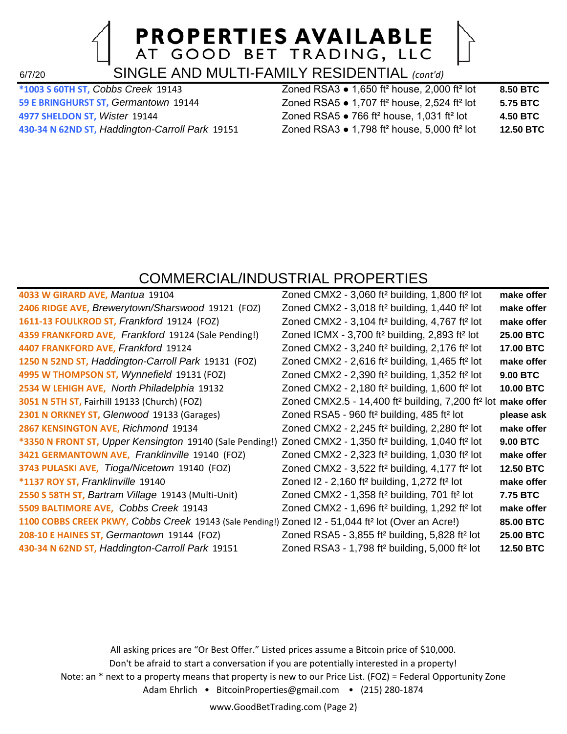6/7/20 SINGLE AND MULTI-FAMILY RESIDENTIAL *(cont'd)*

| *1003 S 60TH ST, Cobbs Creek 19143              | Zoned RSA3 $\bullet$ 1,650 ft <sup>2</sup> house, 2,000 ft <sup>2</sup> lot | 8.50 BTC  |
|-------------------------------------------------|-----------------------------------------------------------------------------|-----------|
| 59 E BRINGHURST ST, Germantown 19144            | Zoned RSA5 $\bullet$ 1,707 ft <sup>2</sup> house, 2,524 ft <sup>2</sup> lot | 5.75 BTC  |
| 4977 SHELDON ST, Wister 19144                   | Zoned RSA5 $\bullet$ 766 ft <sup>2</sup> house, 1,031 ft <sup>2</sup> lot   | 4.50 BTC  |
| 430-34 N 62ND ST, Haddington-Carroll Park 19151 | Zoned RSA3 $\bullet$ 1,798 ft <sup>2</sup> house, 5,000 ft <sup>2</sup> lot | 12.50 BTC |
|                                                 |                                                                             |           |

### COMMERCIAL/INDUSTRIAL PROPERTIES

| 4033 W GIRARD AVE, Mantua 19104                                                                                                 | Zoned CMX2 - 3,060 ft <sup>2</sup> building, 1,800 ft <sup>2</sup> lot               | make offer       |
|---------------------------------------------------------------------------------------------------------------------------------|--------------------------------------------------------------------------------------|------------------|
| 2406 RIDGE AVE, Brewerytown/Sharswood 19121 (FOZ)                                                                               | Zoned CMX2 - 3,018 ft <sup>2</sup> building, 1,440 ft <sup>2</sup> lot               | make offer       |
| 1611-13 FOULKROD ST, Frankford 19124 (FOZ)                                                                                      | Zoned CMX2 - 3,104 ft <sup>2</sup> building, 4,767 ft <sup>2</sup> lot               | make offer       |
| 4359 FRANKFORD AVE, Frankford 19124 (Sale Pending!)                                                                             | Zoned ICMX - 3,700 ft <sup>2</sup> building, 2,893 ft <sup>2</sup> lot               | <b>25.00 BTC</b> |
| 4407 FRANKFORD AVE, Frankford 19124                                                                                             | Zoned CMX2 - 3,240 ft <sup>2</sup> building, 2,176 ft <sup>2</sup> lot               | 17.00 BTC        |
| 1250 N 52ND ST, Haddington-Carroll Park 19131 (FOZ)                                                                             | Zoned CMX2 - 2,616 ft <sup>2</sup> building, 1,465 ft <sup>2</sup> lot               | make offer       |
| 4995 W THOMPSON ST, Wynnefield 19131 (FOZ)                                                                                      | Zoned CMX2 - 2,390 ft <sup>2</sup> building, 1,352 ft <sup>2</sup> lot               | <b>9.00 BTC</b>  |
| 2534 W LEHIGH AVE, North Philadelphia 19132                                                                                     | Zoned CMX2 - 2,180 ft <sup>2</sup> building, 1,600 ft <sup>2</sup> lot               | 10.00 BTC        |
| 3051 N 5TH ST, Fairhill 19133 (Church) (FOZ)                                                                                    | Zoned CMX2.5 - 14,400 ft <sup>2</sup> building, 7,200 ft <sup>2</sup> lot make offer |                  |
| 2301 N ORKNEY ST, Glenwood 19133 (Garages)                                                                                      | Zoned RSA5 - 960 ft <sup>2</sup> building, 485 ft <sup>2</sup> lot                   | please ask       |
| 2867 KENSINGTON AVE, Richmond 19134                                                                                             | Zoned CMX2 - 2,245 ft <sup>2</sup> building, 2,280 ft <sup>2</sup> lot               | make offer       |
| *3350 N FRONT ST, Upper Kensington 19140 (Sale Pending!) Zoned CMX2 - 1,350 ft <sup>2</sup> building, 1,040 ft <sup>2</sup> lot |                                                                                      | <b>9.00 BTC</b>  |
| 3421 GERMANTOWN AVE, Franklinville 19140 (FOZ)                                                                                  | Zoned CMX2 - $2,323$ ft <sup>2</sup> building, 1,030 ft <sup>2</sup> lot             | make offer       |
| 3743 PULASKI AVE, Tioga/Nicetown 19140 (FOZ)                                                                                    | Zoned CMX2 - 3,522 ft <sup>2</sup> building, 4,177 ft <sup>2</sup> lot               | 12.50 BTC        |
| *1137 ROY ST, Franklinville 19140                                                                                               | Zoned I2 - 2,160 ft <sup>2</sup> building, 1,272 ft <sup>2</sup> lot                 | make offer       |
| 2550 S 58TH ST, Bartram Village 19143 (Multi-Unit)                                                                              | Zoned CMX2 - 1,358 ft <sup>2</sup> building, 701 ft <sup>2</sup> lot                 | 7.75 BTC         |
| 5509 BALTIMORE AVE, Cobbs Creek 19143                                                                                           | Zoned CMX2 - 1,696 ft <sup>2</sup> building, 1,292 ft <sup>2</sup> lot               | make offer       |
| 1100 COBBS CREEK PKWY, Cobbs Creek 19143 (Sale Pending!) Zoned I2 - 51,044 ft <sup>2</sup> lot (Over an Acre!)                  |                                                                                      | 85.00 BTC        |
| 208-10 E HAINES ST, Germantown 19144 (FOZ)                                                                                      | Zoned RSA5 - 3,855 ft <sup>2</sup> building, 5,828 ft <sup>2</sup> lot               | 25.00 BTC        |
| 430-34 N 62ND ST, Haddington-Carroll Park 19151                                                                                 | Zoned RSA3 - 1,798 ft <sup>2</sup> building, 5,000 ft <sup>2</sup> lot               | <b>12.50 BTC</b> |
|                                                                                                                                 |                                                                                      |                  |

All asking prices are "Or Best Offer." Listed prices assume a Bitcoin price of \$10,000. Don't be afraid to start a conversation if you are potentially interested in a property! Note: an \* next to a property means that property is new to our Price List. (FOZ) = Federal Opportunity Zone Adam Ehrlich • BitcoinProperties@gmail.com • (215) 280-1874

www.GoodBetTrading.com (Page 2)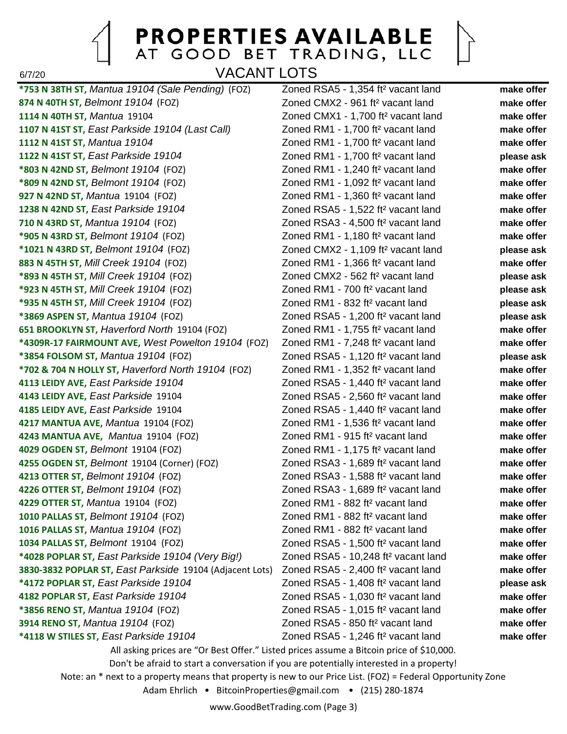6/7/20 VACANT LOTS

**874 N 40TH ST,** *Belmont 19104* (FOZ) Zoned CMX2 - 961 ft² vacant land **make offer 1114 N 40TH ST,** *Mantua* 19104 Zoned CMX1 - 1,700 ft² vacant land **make offer 1107 N 41ST ST,** *East Parkside 19104 (Last Call)* Zoned RM1 - 1,700 ft² vacant land **make offer 1112 N 41ST ST,** *Mantua 19104* Zoned RM1 - 1,700 ft² vacant land **make offer 1122 N 41ST ST,** *East Parkside 19104* Zoned RM1 - 1,700 ft² vacant land **please ask \*803 N 42ND ST,** *Belmont 19104* (FOZ) Zoned RM1 - 1,240 ft² vacant land **make offer \*809 N 42ND ST,** *Belmont 19104* (FOZ) Zoned RM1 - 1,092 ft² vacant land **make offer 927 N 42ND ST,** *Mantua* 19104 (FOZ) Zoned RM1 - 1,360 ft² vacant land **make offer 1238 N 42ND ST,** *East Parkside 19104* Zoned RSA5 - 1,522 ft² vacant land **make offer 710 N 43RD ST,** *Mantua 19104* (FOZ) Zoned RSA3 - 4,500 ft² vacant land **make offer \*905 N 43RD ST,** *Belmont 19104* (FOZ) Zoned RM1 - 1,180 ft² vacant land **make offer \*1021 N 43RD ST,** *Belmont 19104* (FOZ) Zoned CMX2 - 1,109 ft² vacant land **please ask 883 N 45TH ST,** *Mill Creek 19104* (FOZ) Zoned RM1 - 1,366 ft² vacant land **make offer \*893 N 45TH ST,** *Mill Creek 19104* (FOZ) Zoned CMX2 - 562 ft² vacant land **please ask \*923 N 45TH ST,** *Mill Creek 19104* (FOZ) Zoned RM1 - 700 ft² vacant land **please ask \*935 N 45TH ST,** *Mill Creek 19104* (FOZ) Zoned RM1 - 832 ft² vacant land **please ask \*3869 ASPEN ST,** *Mantua 19104* (FOZ) Zoned RSA5 - 1,200 ft² vacant land **please ask 651 BROOKLYN ST,** *Haverford North* 19104 (FOZ) Zoned RM1 - 1,755 ft² vacant land **make offer \*4309R-17 FAIRMOUNT AVE,** *West Powelton 19104* (FOZ) Zoned RM1 - 7,248 ft² vacant land **make offer \*3854 FOLSOM ST,** *Mantua 19104* (FOZ) Zoned RSA5 - 1,120 ft² vacant land **please ask \*702 & 704 N HOLLY ST,** *Haverford North 19104* (FOZ) Zoned RM1 - 1,352 ft² vacant land **make offer 4113 LEIDY AVE,** *East Parkside 19104* Zoned RSA5 - 1,440 ft² vacant land **make offer 4143 LEIDY AVE,** *East Parkside* 19104 Zoned RSA5 - 2,560 ft² vacant land **make offer 4185 LEIDY AVE,** *East Parkside* 19104 Zoned RSA5 - 1,440 ft² vacant land **make offer 4217 MANTUA AVE,** *Mantua* 19104 (FOZ) Zoned RM1 - 1,536 ft² vacant land **make offer 4243 MANTUA AVE,** *Mantua* 19104 (FOZ) Zoned RM1 - 915 ft² vacant land **make offer 4029 OGDEN ST,** *Belmont* 19104 (FOZ) Zoned RM1 - 1,175 ft² vacant land **make offer 4255 OGDEN ST,** *Belmont* 19104 (Corner) (FOZ) Zoned RSA3 - 1,689 ft² vacant land **make offer 4213 OTTER ST,** *Belmont 19104* (FOZ) Zoned RSA3 - 1,588 ft² vacant land **make offer 4226 OTTER ST,** *Belmont 19104* (FOZ) Zoned RSA3 - 1,689 ft² vacant land **make offer 4229 OTTER ST,** *Mantua* 19104 (FOZ) Zoned RM1 - 882 ft² vacant land **make offer 1010 PALLAS ST,** *Belmont 19104* (FOZ) Zoned RM1 - 882 ft² vacant land **make offer 1016 PALLAS ST,** *Mantua 19104* (FOZ) Zoned RM1 - 882 ft² vacant land **make offer 1034 PALLAS ST,** *Belmont* 19104 (FOZ) Zoned RSA5 - 1,500 ft² vacant land **make offer \*4028 POPLAR ST,** *East Parkside 19104 (Very Big!)* Zoned RSA5 - 10,248 ft² vacant land **make offer 3830-3832 POPLAR ST,** *East Parkside* 19104 (Adjacent Lots) Zoned RSA5 - 2,400 ft² vacant land **make offer \*4172 POPLAR ST,** *East Parkside 19104* Zoned RSA5 - 1,408 ft² vacant land **please ask 4182 POPLAR ST,** *East Parkside 19104* Zoned RSA5 - 1,030 ft² vacant land **make offer \*3856 RENO ST,** *Mantua 19104* (FOZ) Zoned RSA5 - 1,015 ft² vacant land **make offer 3914 RENO ST,** *Mantua 19104* (FOZ) Zoned RSA5 - 850 ft² vacant land **make offer \*4118 W STILES ST,** *East Parkside 19104* Zoned RSA5 - 1,246 ft² vacant land **make offer**

**\*753 N 38TH ST,** *Mantua 19104 (Sale Pending)* (FOZ) Zoned RSA5 - 1,354 ft² vacant land **make offer**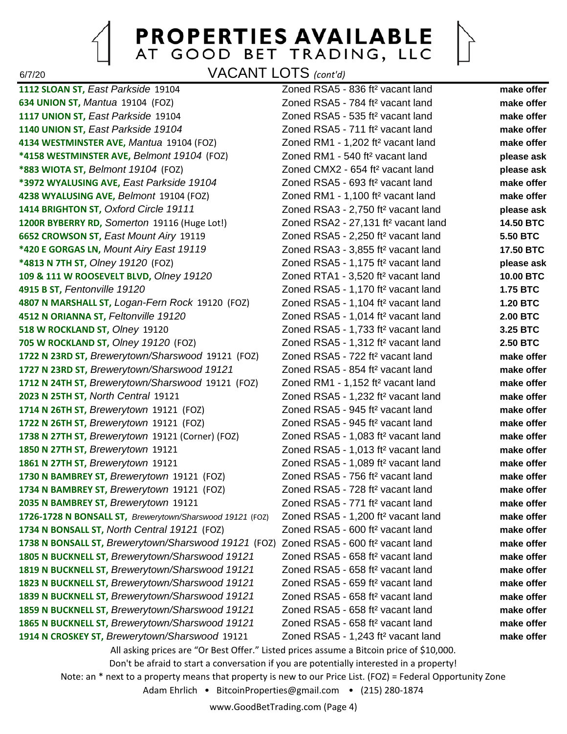6/7/20 VACANT LOTS *(cont'd)*

**1112 SLOAN ST,** *East Parkside* 19104 Zoned RSA5 - 836 ft² vacant land **make offer 634 UNION ST,** *Mantua* 19104 (FOZ) Zoned RSA5 - 784 ft² vacant land **make offer 1117 UNION ST,** *East Parkside* 19104 Zoned RSA5 - 535 ft² vacant land **make offer 1140 UNION ST,** *East Parkside 19104* Zoned RSA5 - 711 ft² vacant land **make offer 4134 WESTMINSTER AVE,** *Mantua* 19104 (FOZ) Zoned RM1 - 1,202 ft² vacant land **make offer \*4158 WESTMINSTER AVE,** *Belmont 19104* (FOZ) Zoned RM1 - 540 ft² vacant land **please ask \*883 WIOTA ST,** *Belmont 19104* (FOZ) Zoned CMX2 - 654 ft² vacant land **please ask \*3972 WYALUSING AVE,** *East Parkside 19104* Zoned RSA5 - 693 ft² vacant land **make offer 4238 WYALUSING AVE,** *Belmont* 19104 (FOZ) Zoned RM1 - 1,100 ft² vacant land **make offer 1414 BRIGHTON ST,** *Oxford Circle 19111* Zoned RSA3 - 2,750 ft² vacant land **please ask 1200R BYBERRY RD,** *Somerton* 19116 (Huge Lot!) Zoned RSA2 - 27,131 ft² vacant land **14.50 BTC 6652 CROWSON ST,** *East Mount Airy* 19119 Zoned RSA5 - 2,250 ft² vacant land **5.50 BTC \*420 E GORGAS LN,** *Mount Airy East 19119* Zoned RSA3 - 3,855 ft² vacant land **17.50 BTC \*4813 N 7TH ST,** *Olney 19120* (FOZ) Zoned RSA5 - 1,175 ft² vacant land **please ask 109 & 111 W ROOSEVELT BLVD,** *Olney 19120* Zoned RTA1 - 3,520 ft² vacant land **10.00 BTC 4915 B ST,** *Fentonville 19120* Zoned RSA5 - 1,170 ft² vacant land **1.75 BTC 4807 N MARSHALL ST,** *Logan-Fern Rock* 19120 (FOZ) Zoned RSA5 - 1,104 ft² vacant land **1.20 BTC 4512 N ORIANNA ST,** *Feltonville 19120* Zoned RSA5 - 1,014 ft² vacant land **2.00 BTC 518 W ROCKLAND ST,** *Olney* 19120 Zoned RSA5 - 1,733 ft² vacant land **3.25 BTC 705 W ROCKLAND ST,** *Olney 19120* (FOZ) Zoned RSA5 - 1,312 ft² vacant land **2.50 BTC 1722 N 23RD ST,** *Brewerytown/Sharswood* 19121 (FOZ) Zoned RSA5 - 722 ft² vacant land **make offer 1727 N 23RD ST,** *Brewerytown/Sharswood 19121* Zoned RSA5 - 854 ft² vacant land **make offer 1712 N 24TH ST,** *Brewerytown/Sharswood* 19121 (FOZ) Zoned RM1 - 1,152 ft² vacant land **make offer 2023 N 25TH ST,** *North Central* 19121 Zoned RSA5 - 1,232 ft² vacant land **make offer 1714 N 26TH ST,** *Brewerytown* 19121 (FOZ) Zoned RSA5 - 945 ft² vacant land **make offer 1722 N 26TH ST,** *Brewerytown* 19121 (FOZ) Zoned RSA5 - 945 ft² vacant land **make offer 1738 N 27TH ST,** *Brewerytown* 19121 (Corner) (FOZ) Zoned RSA5 - 1,083 ft² vacant land **make offer 1850 N 27TH ST,** *Brewerytown* 19121 Zoned RSA5 - 1,013 ft² vacant land **make offer 1861 N 27TH ST,** *Brewerytown* 19121 Zoned RSA5 - 1,089 ft² vacant land **make offer 1730 N BAMBREY ST,** *Brewerytown* 19121 (FOZ) Zoned RSA5 - 756 ft² vacant land **make offer 1734 N BAMBREY ST,** *Brewerytown* 19121 (FOZ) Zoned RSA5 - 728 ft² vacant land **make offer 2035 N BAMBREY ST,** *Brewerytown* 19121 Zoned RSA5 - 771 ft² vacant land **make offer 1726-1728 N BONSALL ST,** *Brewerytown/Sharswood 19121* (FOZ) Zoned RSA5 - 1,200 ft² vacant land **make offer 1734 N BONSALL ST,** *North Central 19121* (FOZ) Zoned RSA5 - 600 ft² vacant land **make offer 1738 N BONSALL ST,** *Brewerytown/Sharswood 19121* (FOZ) Zoned RSA5 - 600 ft² vacant land **make offer 1805 N BUCKNELL ST,** *Brewerytown/Sharswood 19121* Zoned RSA5 - 658 ft² vacant land **make offer 1819 N BUCKNELL ST,** *Brewerytown/Sharswood 19121* Zoned RSA5 - 658 ft² vacant land **make offer 1823 N BUCKNELL ST,** *Brewerytown/Sharswood 19121* Zoned RSA5 - 659 ft² vacant land **make offer 1839 N BUCKNELL ST,** *Brewerytown/Sharswood 19121* Zoned RSA5 - 658 ft² vacant land **make offer 1859 N BUCKNELL ST,** *Brewerytown/Sharswood 19121* Zoned RSA5 - 658 ft² vacant land **make offer 1865 N BUCKNELL ST,** *Brewerytown/Sharswood 19121* Zoned RSA5 - 658 ft² vacant land **make offer 1914 N CROSKEY ST,** *Brewerytown/Sharswood* 19121 Zoned RSA5 - 1,243 ft² vacant land **make offer**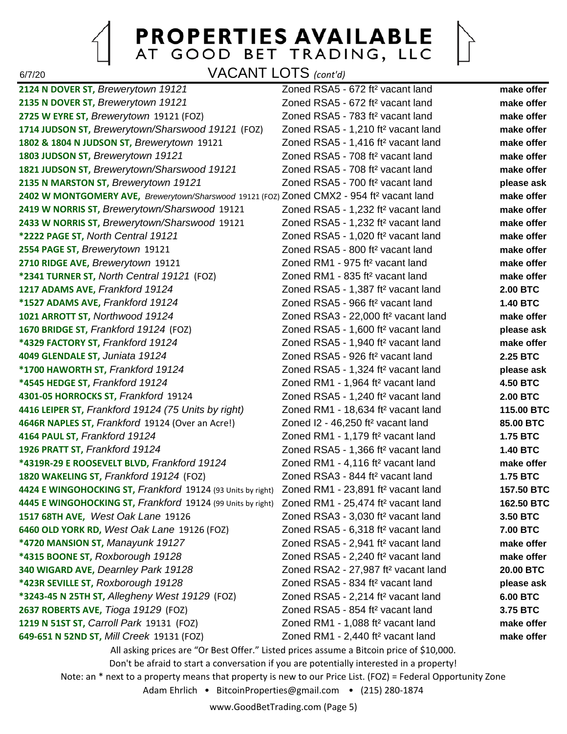

6/7/20 VACANT LOTS *(cont'd)*

**2124 N DOVER ST,** *Brewerytown 19121* Zoned RSA5 - 672 ft² vacant land **make offer 2135 N DOVER ST,** *Brewerytown 19121* Zoned RSA5 - 672 ft² vacant land **make offer 2725 W EYRE ST,** *Brewerytown* 19121 (FOZ) Zoned RSA5 - 783 ft² vacant land **make offer 1714 JUDSON ST,** *Brewerytown/Sharswood 19121* (FOZ) Zoned RSA5 - 1,210 ft² vacant land **make offer 1802 & 1804 N JUDSON ST,** *Brewerytown* 19121 Zoned RSA5 - 1,416 ft² vacant land **make offer 1803 JUDSON ST,** *Brewerytown 19121* Zoned RSA5 - 708 ft² vacant land **make offer 1821 JUDSON ST,** *Brewerytown/Sharswood 19121* Zoned RSA5 - 708 ft² vacant land **make offer 2135 N MARSTON ST,** *Brewerytown 19121* Zoned RSA5 - 700 ft² vacant land **please ask 2402 W MONTGOMERY AVE,** *Brewerytown/Sharswood* 19121 (FOZ) Zoned CMX2 - 954 ft² vacant land **make offer 2419 W NORRIS ST,** *Brewerytown/Sharswood* 19121 Zoned RSA5 - 1,232 ft² vacant land **make offer 2433 W NORRIS ST,** *Brewerytown/Sharswood* 19121 Zoned RSA5 - 1,232 ft² vacant land **make offer \*2222 PAGE ST,** *North Central 19121* Zoned RSA5 - 1,020 ft² vacant land **make offer 2554 PAGE ST,** *Brewerytown* 19121 Zoned RSA5 - 800 ft² vacant land **make offer 2710 RIDGE AVE,** *Brewerytown* 19121 Zoned RM1 - 975 ft² vacant land **make offer \*2341 TURNER ST,** *North Central 19121* (FOZ) Zoned RM1 - 835 ft² vacant land **make offer 1217 ADAMS AVE,** *Frankford 19124* Zoned RSA5 - 1,387 ft² vacant land **2.00 BTC \*1527 ADAMS AVE,** *Frankford 19124* Zoned RSA5 - 966 ft² vacant land **1.40 BTC 1021 ARROTT ST,** *Northwood 19124* Zoned RSA3 - 22,000 ft² vacant land **make offer 1670 BRIDGE ST,** *Frankford 19124* (FOZ) Zoned RSA5 - 1,600 ft² vacant land **please ask \*4329 FACTORY ST,** *Frankford 19124* Zoned RSA5 - 1,940 ft² vacant land **make offer 4049 GLENDALE ST,** *Juniata 19124* Zoned RSA5 - 926 ft² vacant land **2.25 BTC \*1700 HAWORTH ST,** *Frankford 19124* Zoned RSA5 - 1,324 ft² vacant land **please ask \*4545 HEDGE ST,** *Frankford 19124* Zoned RM1 - 1,964 ft² vacant land **4.50 BTC 4301-05 HORROCKS ST,** *Frankford* 19124 Zoned RSA5 - 1,240 ft² vacant land **2.00 BTC 4416 LEIPER ST,** *Frankford 19124 (75 Units by right)* Zoned RM1 - 18,634 ft² vacant land **115.00 BTC 4646R NAPLES ST,** *Frankford* 19124 (Over an Acre!) Zoned I2 - 46,250 ft² vacant land **85.00 BTC 4164 PAUL ST,** *Frankford 19124* Zoned RM1 - 1,179 ft² vacant land **1.75 BTC 1926 PRATT ST,** *Frankford 19124* Zoned RSA5 - 1,366 ft² vacant land **1.40 BTC \*4319R-29 E ROOSEVELT BLVD,** *Frankford 19124* Zoned RM1 - 4,116 ft² vacant land **make offer 1820 WAKELING ST,** *Frankford 19124* (FOZ) Zoned RSA3 - 844 ft² vacant land **1.75 BTC 4424 E WINGOHOCKING ST,** *Frankford* 19124 (93 Units by right) Zoned RM1 - 23,891 ft² vacant land **157.50 BTC 4445 E WINGOHOCKING ST,** *Frankford* 19124 (99 Units by right) Zoned RM1 - 25,474 ft² vacant land **162.50 BTC 1517 68TH AVE,** *West Oak Lane* 19126 Zoned RSA3 - 3,030 ft² vacant land **3.50 BTC 6460 OLD YORK RD,** *West Oak Lane* 19126 (FOZ) Zoned RSA5 - 6,318 ft² vacant land **7.00 BTC \*4720 MANSION ST,** *Manayunk 19127* Zoned RSA5 - 2,941 ft² vacant land **make offer \*4315 BOONE ST,** *Roxborough 19128* Zoned RSA5 - 2,240 ft² vacant land **make offer 340 WIGARD AVE,** *Dearnley Park 19128* Zoned RSA2 - 27,987 ft² vacant land **20.00 BTC \*423R SEVILLE ST,** *Roxborough 19128* Zoned RSA5 - 834 ft² vacant land **please ask \*3243-45 N 25TH ST,** *Allegheny West 19129* (FOZ) Zoned RSA5 - 2,214 ft² vacant land **6.00 BTC 2637 ROBERTS AVE,** *Tioga 19129* (FOZ) Zoned RSA5 - 854 ft² vacant land **3.75 BTC 1219 N 51ST ST,** *Carroll Park* 19131 (FOZ) Zoned RM1 - 1,088 ft² vacant land **make offer 649-651 N 52ND ST,** *Mill Creek* 19131 (FOZ) Zoned RM1 - 2,440 ft² vacant land **make offer**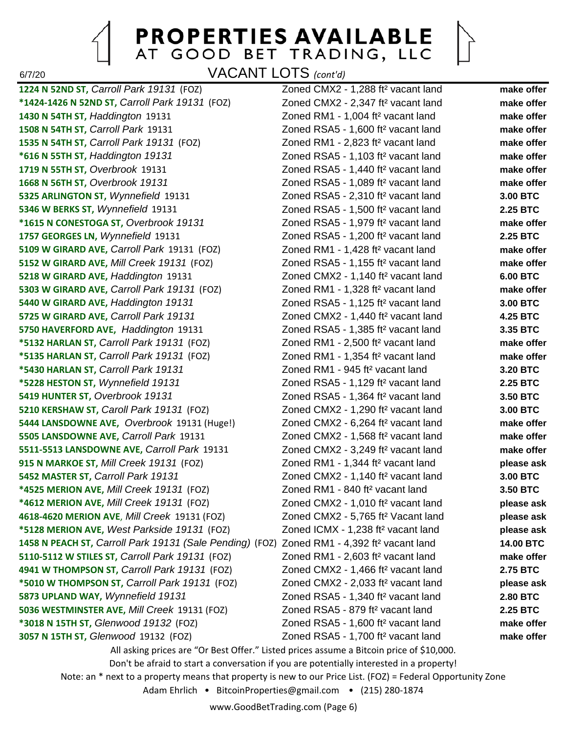6/7/20 VACANT LOTS *(cont'd)*

**1224 N 52ND ST,** *Carroll Park 19131* (FOZ) Zoned CMX2 - 1,288 ft² vacant land **make offer \*1424-1426 N 52ND ST,** *Carroll Park 19131* (FOZ) Zoned CMX2 - 2,347 ft² vacant land **make offer 1430 N 54TH ST,** *Haddington* 19131 Zoned RM1 - 1,004 ft² vacant land **make offer 1508 N 54TH ST,** *Carroll Park* 19131 Zoned RSA5 - 1,600 ft² vacant land **make offer 1535 N 54TH ST,** *Carroll Park 19131* (FOZ) Zoned RM1 - 2,823 ft² vacant land **make offer \*616 N 55TH ST,** *Haddington 19131* Zoned RSA5 - 1,103 ft² vacant land **make offer 1719 N 55TH ST,** *Overbrook* 19131 Zoned RSA5 - 1,440 ft² vacant land **make offer 1668 N 56TH ST,** *Overbrook 19131* Zoned RSA5 - 1,089 ft² vacant land **make offer 5325 ARLINGTON ST,** *Wynnefield* 19131 Zoned RSA5 - 2,310 ft² vacant land **3.00 BTC 5346 W BERKS ST,** *Wynnefield* 19131 Zoned RSA5 - 1,500 ft² vacant land **2.25 BTC \*1615 N CONESTOGA ST,** *Overbrook 19131* Zoned RSA5 - 1,979 ft² vacant land **make offer 1757 GEORGES LN,** *Wynnefield* 19131 Zoned RSA5 - 1,200 ft² vacant land **2.25 BTC 5109 W GIRARD AVE,** *Carroll Park* 19131 (FOZ) Zoned RM1 - 1,428 ft² vacant land **make offer 5152 W GIRARD AVE,** *Mill Creek 19131* (FOZ) Zoned RSA5 - 1,155 ft² vacant land **make offer 5218 W GIRARD AVE,** *Haddington* 19131 Zoned CMX2 - 1,140 ft² vacant land **6.00 BTC 5303 W GIRARD AVE,** *Carroll Park 19131* (FOZ) Zoned RM1 - 1,328 ft² vacant land **make offer 5440 W GIRARD AVE,** *Haddington 19131* Zoned RSA5 - 1,125 ft² vacant land **3.00 BTC 5725 W GIRARD AVE,** *Carroll Park 19131* Zoned CMX2 - 1,440 ft² vacant land **4.25 BTC 5750 HAVERFORD AVE,** *Haddington* 19131 Zoned RSA5 - 1,385 ft² vacant land **3.35 BTC \*5132 HARLAN ST,** *Carroll Park 19131* (FOZ) Zoned RM1 - 2,500 ft² vacant land **make offer \*5135 HARLAN ST,** *Carroll Park 19131* (FOZ) Zoned RM1 - 1,354 ft² vacant land **make offer \*5430 HARLAN ST,** *Carroll Park 19131* Zoned RM1 - 945 ft² vacant land **3.20 BTC \*5228 HESTON ST,** *Wynnefield 19131* Zoned RSA5 - 1,129 ft² vacant land **2.25 BTC 5419 HUNTER ST,** *Overbrook 19131* Zoned RSA5 - 1,364 ft² vacant land **3.50 BTC 5210 KERSHAW ST,** *Caroll Park 19131* (FOZ) Zoned CMX2 - 1,290 ft² vacant land **3.00 BTC 5444 LANSDOWNE AVE,** *Overbrook* 19131 (Huge!) Zoned CMX2 - 6,264 ft² vacant land **make offer 5505 LANSDOWNE AVE,** *Carroll Park* 19131 Zoned CMX2 - 1,568 ft² vacant land **make offer 5511-5513 LANSDOWNE AVE,** *Carroll Park* 19131 Zoned CMX2 - 3,249 ft² vacant land **make offer 915 N MARKOE ST,** *Mill Creek 19131* (FOZ) Zoned RM1 - 1,344 ft² vacant land **please ask 5452 MASTER ST,** *Carroll Park 19131* Zoned CMX2 - 1,140 ft² vacant land **3.00 BTC \*4525 MERION AVE,** *Mill Creek 19131* (FOZ) Zoned RM1 - 840 ft² vacant land **3.50 BTC \*4612 MERION AVE,** *Mill Creek 19131* (FOZ) Zoned CMX2 - 1,010 ft² vacant land **please ask 4618-4620 MERION AVE**, *Mill Creek* 19131 (FOZ) Zoned CMX2 - 5,765 ft² Vacant land **please ask \*5128 MERION AVE,** *West Parkside 19131* (FOZ) Zoned ICMX - 1,238 ft² vacant land **please ask 1458 N PEACH ST,** *Carroll Park 19131 (Sale Pending)* (FOZ) Zoned RM1 - 4,392 ft² vacant land **14.00 BTC 5110-5112 W STILES ST,** *Carroll Park 19131* (FOZ) Zoned RM1 - 2,603 ft² vacant land **make offer 4941 W THOMPSON ST,** *Carroll Park 19131* (FOZ) Zoned CMX2 - 1,466 ft² vacant land **2.75 BTC \*5010 W THOMPSON ST,** *Carroll Park 19131* (FOZ) Zoned CMX2 - 2,033 ft² vacant land **please ask 5873 UPLAND WAY,** *Wynnefield 19131* Zoned RSA5 - 1,340 ft² vacant land **2.80 BTC 5036 WESTMINSTER AVE,** *Mill Creek* 19131 (FOZ) Zoned RSA5 - 879 ft² vacant land **2.25 BTC \*3018 N 15TH ST,** *Glenwood 19132* (FOZ) Zoned RSA5 - 1,600 ft² vacant land **make offer 3057 N 15TH ST,** *Glenwood* 19132 (FOZ) Zoned RSA5 - 1,700 ft² vacant land **make offer**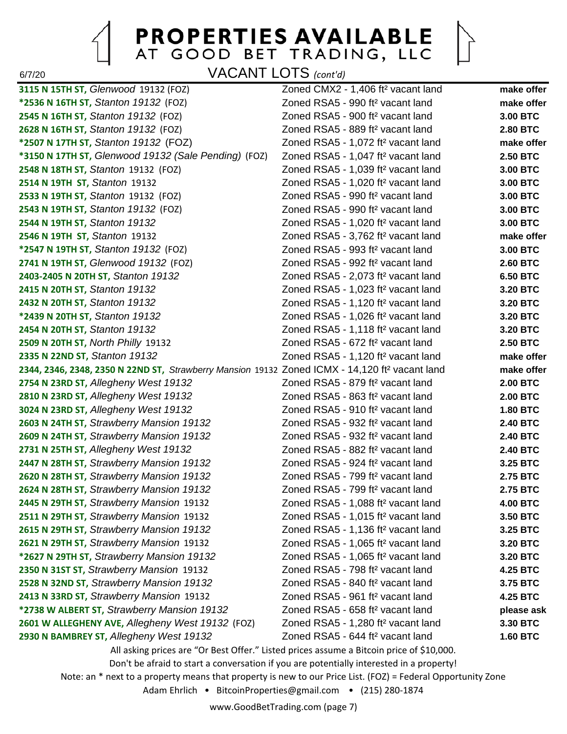$\left\vert \right\rangle$ 

6/7/20 VACANT LOTS *(cont'd)*

| 3115 N 15TH ST, Glenwood 19132 (FOZ)                                                                       | Zoned CMX2 - 1,406 ft <sup>2</sup> vacant land                                           | make offer      |
|------------------------------------------------------------------------------------------------------------|------------------------------------------------------------------------------------------|-----------------|
| *2536 N 16TH ST, Stanton 19132 (FOZ)                                                                       | Zoned RSA5 - 990 ft <sup>2</sup> vacant land                                             | make offer      |
| 2545 N 16TH ST, Stanton 19132 (FOZ)                                                                        | Zoned RSA5 - 900 ft <sup>2</sup> vacant land                                             | 3.00 BTC        |
| 2628 N 16TH ST, Stanton 19132 (FOZ)                                                                        | Zoned RSA5 - 889 ft <sup>2</sup> vacant land                                             | <b>2.80 BTC</b> |
| *2507 N 17TH ST, Stanton 19132 (FOZ)                                                                       | Zoned RSA5 - 1,072 ft <sup>2</sup> vacant land                                           | make offer      |
| *3150 N 17TH ST, Glenwood 19132 (Sale Pending) (FOZ)                                                       | Zoned RSA5 - 1,047 ft <sup>2</sup> vacant land                                           | <b>2.50 BTC</b> |
| 2548 N 18TH ST, Stanton 19132 (FOZ)                                                                        | Zoned RSA5 - 1,039 ft <sup>2</sup> vacant land                                           | 3.00 BTC        |
| 2514 N 19TH ST, Stanton 19132                                                                              | Zoned RSA5 - 1,020 ft <sup>2</sup> vacant land                                           | 3.00 BTC        |
| 2533 N 19TH ST, Stanton 19132 (FOZ)                                                                        | Zoned RSA5 - 990 ft <sup>2</sup> vacant land                                             | 3.00 BTC        |
| 2543 N 19TH ST, Stanton 19132 (FOZ)                                                                        | Zoned RSA5 - 990 ft <sup>2</sup> vacant land                                             | 3.00 BTC        |
| 2544 N 19TH ST, Stanton 19132                                                                              | Zoned RSA5 - 1,020 ft <sup>2</sup> vacant land                                           | 3.00 BTC        |
| 2546 N 19TH ST, Stanton 19132                                                                              | Zoned RSA5 - 3,762 ft <sup>2</sup> vacant land                                           | make offer      |
| *2547 N 19TH ST, Stanton 19132 (FOZ)                                                                       | Zoned RSA5 - 993 ft <sup>2</sup> vacant land                                             | 3.00 BTC        |
| 2741 N 19TH ST, Glenwood 19132 (FOZ)                                                                       | Zoned RSA5 - 992 ft <sup>2</sup> vacant land                                             | <b>2.60 BTC</b> |
| 2403-2405 N 20TH ST, Stanton 19132                                                                         | Zoned RSA5 - 2,073 ft <sup>2</sup> vacant land                                           | <b>6.50 BTC</b> |
| 2415 N 20TH ST, Stanton 19132                                                                              | Zoned RSA5 - 1,023 ft <sup>2</sup> vacant land                                           | 3.20 BTC        |
| 2432 N 20TH ST, Stanton 19132                                                                              | Zoned RSA5 - 1,120 ft <sup>2</sup> vacant land                                           | 3.20 BTC        |
| *2439 N 20TH ST, Stanton 19132                                                                             | Zoned RSA5 - 1,026 ft <sup>2</sup> vacant land                                           | 3.20 BTC        |
| 2454 N 20TH ST, Stanton 19132                                                                              | Zoned RSA5 - 1,118 ft <sup>2</sup> vacant land                                           | 3.20 BTC        |
| 2509 N 20TH ST, North Philly 19132                                                                         | Zoned RSA5 - 672 ft <sup>2</sup> vacant land                                             | <b>2.50 BTC</b> |
| 2335 N 22ND ST, Stanton 19132                                                                              | Zoned RSA5 - 1,120 ft <sup>2</sup> vacant land                                           | make offer      |
| 2344, 2346, 2348, 2350 N 22ND ST, Strawberry Mansion 19132 Zoned ICMX - 14,120 ft <sup>2</sup> vacant land |                                                                                          | make offer      |
| 2754 N 23RD ST, Allegheny West 19132                                                                       | Zoned RSA5 - 879 ft <sup>2</sup> vacant land                                             | <b>2.00 BTC</b> |
| 2810 N 23RD ST, Allegheny West 19132                                                                       | Zoned RSA5 - 863 ft <sup>2</sup> vacant land                                             | <b>2.00 BTC</b> |
| 3024 N 23RD ST, Allegheny West 19132                                                                       | Zoned RSA5 - 910 ft <sup>2</sup> vacant land                                             | <b>1.80 BTC</b> |
| 2603 N 24TH ST, Strawberry Mansion 19132                                                                   | Zoned RSA5 - 932 ft <sup>2</sup> vacant land                                             | <b>2.40 BTC</b> |
| 2609 N 24TH ST, Strawberry Mansion 19132                                                                   | Zoned RSA5 - 932 ft <sup>2</sup> vacant land                                             | <b>2.40 BTC</b> |
| 2731 N 25TH ST, Allegheny West 19132                                                                       | Zoned RSA5 - 882 ft <sup>2</sup> vacant land                                             | <b>2.40 BTC</b> |
| 2447 N 28TH ST, Strawberry Mansion 19132                                                                   | Zoned RSA5 - 924 ft <sup>2</sup> vacant land                                             | 3.25 BTC        |
| 2620 N 28TH ST, Strawberry Mansion 19132                                                                   | Zoned RSA5 - 799 ft <sup>2</sup> vacant land                                             | 2.75 BTC        |
| 2624 N 28TH ST, Strawberry Mansion 19132                                                                   | Zoned RSA5 - 799 ft <sup>2</sup> vacant land                                             | <b>2.75 BTC</b> |
| 2445 N 29TH ST, Strawberry Mansion 19132                                                                   | Zoned RSA5 - 1,088 ft <sup>2</sup> vacant land                                           | <b>4.00 BTC</b> |
| 2511 N 29TH ST, Strawberry Mansion 19132                                                                   | Zoned RSA5 - 1,015 ft <sup>2</sup> vacant land                                           | 3.50 BTC        |
| 2615 N 29TH ST, Strawberry Mansion 19132                                                                   | Zoned RSA5 - 1,136 ft <sup>2</sup> vacant land                                           | 3.25 BTC        |
| 2621 N 29TH ST, Strawberry Mansion 19132                                                                   | Zoned RSA5 - 1,065 ft <sup>2</sup> vacant land                                           | 3.20 BTC        |
| *2627 N 29TH ST, Strawberry Mansion 19132                                                                  | Zoned RSA5 - 1,065 ft <sup>2</sup> vacant land                                           | 3.20 BTC        |
| 2350 N 31ST ST, Strawberry Mansion 19132                                                                   | Zoned RSA5 - 798 ft <sup>2</sup> vacant land                                             | <b>4.25 BTC</b> |
| 2528 N 32ND ST, Strawberry Mansion 19132                                                                   | Zoned RSA5 - 840 ft <sup>2</sup> vacant land                                             | 3.75 BTC        |
| 2413 N 33RD ST, Strawberry Mansion 19132                                                                   | Zoned RSA5 - 961 ft <sup>2</sup> vacant land                                             | <b>4.25 BTC</b> |
| *2738 W ALBERT ST, Strawberry Mansion 19132                                                                | Zoned RSA5 - 658 ft <sup>2</sup> vacant land                                             | please ask      |
| 2601 W ALLEGHENY AVE, Allegheny West 19132 (FOZ)                                                           | Zoned RSA5 - 1,280 ft <sup>2</sup> vacant land                                           | 3.30 BTC        |
| 2930 N BAMBREY ST, Allegheny West 19132                                                                    | Zoned RSA5 - 644 ft <sup>2</sup> vacant land                                             | <b>1.60 BTC</b> |
|                                                                                                            | All asking prices are "Or Best Offer." Listed prices assume a Bitcoin price of \$10,000. |                 |
|                                                                                                            |                                                                                          |                 |

Don't be afraid to start a conversation if you are potentially interested in a property!

Note: an \* next to a property means that property is new to our Price List. (FOZ) = Federal Opportunity Zone

Adam Ehrlich • BitcoinProperties@gmail.com • (215) 280-1874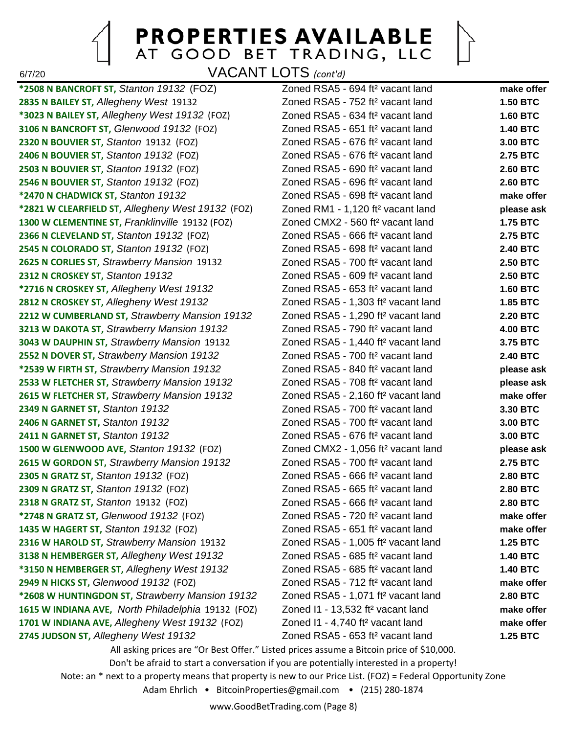6/7/20 VACANT LOTS *(cont'd)*

**\*2508 N BANCROFT ST,** *Stanton 19132* (FOZ) Zoned RSA5 - 694 ft² vacant land **make offer 2835 N BAILEY ST,** *Allegheny West* 19132 Zoned RSA5 - 752 ft² vacant land **1.50 BTC \*3023 N BAILEY ST,** *Allegheny West 19132* (FOZ) Zoned RSA5 - 634 ft² vacant land **1.60 BTC 3106 N BANCROFT ST,** *Glenwood 19132* (FOZ) Zoned RSA5 - 651 ft² vacant land **1.40 BTC 2320 N BOUVIER ST,** *Stanton* 19132 (FOZ) Zoned RSA5 - 676 ft² vacant land **3.00 BTC 2406 N BOUVIER ST,** *Stanton 19132* (FOZ) Zoned RSA5 - 676 ft² vacant land **2.75 BTC 2503 N BOUVIER ST,** *Stanton 19132* (FOZ) Zoned RSA5 - 690 ft² vacant land **2.60 BTC 2546 N BOUVIER ST,** *Stanton 19132* (FOZ) Zoned RSA5 - 696 ft² vacant land **2.60 BTC \*2470 N CHADWICK ST,** *Stanton 19132* Zoned RSA5 - 698 ft² vacant land **make offer \*2821 W CLEARFIELD ST,** *Allegheny West 19132* (FOZ) Zoned RM1 - 1,120 ft² vacant land **please ask 1300 W CLEMENTINE ST,** *Franklinville* 19132 (FOZ) Zoned CMX2 - 560 ft² vacant land **1.75 BTC 2366 N CLEVELAND ST,** *Stanton 19132* (FOZ) Zoned RSA5 - 666 ft² vacant land **2.75 BTC 2545 N COLORADO ST,** *Stanton 19132* (FOZ) Zoned RSA5 - 698 ft² vacant land **2.40 BTC 2625 N CORLIES ST,** *Strawberry Mansion* 19132 Zoned RSA5 - 700 ft² vacant land **2.50 BTC 2312 N CROSKEY ST,** *Stanton 19132* Zoned RSA5 - 609 ft² vacant land **2.50 BTC \*2716 N CROSKEY ST,** *Allegheny West 19132* Zoned RSA5 - 653 ft² vacant land **1.60 BTC 2812 N CROSKEY ST,** *Allegheny West 19132* Zoned RSA5 - 1,303 ft² vacant land **1.85 BTC 2212 W CUMBERLAND ST,** *Strawberry Mansion 19132* Zoned RSA5 - 1,290 ft² vacant land **2.20 BTC 3213 W DAKOTA ST,** *Strawberry Mansion 19132* Zoned RSA5 - 790 ft² vacant land **4.00 BTC 3043 W DAUPHIN ST,** *Strawberry Mansion* 19132 Zoned RSA5 - 1,440 ft² vacant land **3.75 BTC 2552 N DOVER ST,** *Strawberry Mansion 19132* Zoned RSA5 - 700 ft² vacant land **2.40 BTC \*2539 W FIRTH ST,** *Strawberry Mansion 19132* Zoned RSA5 - 840 ft² vacant land **please ask 2533 W FLETCHER ST,** *Strawberry Mansion 19132* Zoned RSA5 - 708 ft² vacant land **please ask 2615 W FLETCHER ST,** *Strawberry Mansion 19132* Zoned RSA5 - 2,160 ft² vacant land **make offer 2349 N GARNET ST,** *Stanton 19132* Zoned RSA5 - 700 ft² vacant land **3.30 BTC 2406 N GARNET ST,** *Stanton 19132* Zoned RSA5 - 700 ft² vacant land **3.00 BTC 2411 N GARNET ST,** *Stanton 19132* Zoned RSA5 - 676 ft² vacant land **3.00 BTC 1500 W GLENWOOD AVE,** *Stanton 19132* (FOZ) Zoned CMX2 - 1,056 ft² vacant land **please ask 2615 W GORDON ST,** *Strawberry Mansion 19132* Zoned RSA5 - 700 ft² vacant land **2.75 BTC 2305 N GRATZ ST,** *Stanton 19132* (FOZ) Zoned RSA5 - 666 ft² vacant land **2.80 BTC 2309 N GRATZ ST,** *Stanton 19132* (FOZ) Zoned RSA5 - 665 ft² vacant land **2.80 BTC 2318 N GRATZ ST,** *Stanton* 19132 (FOZ) Zoned RSA5 - 666 ft² vacant land **2.80 BTC \*2748 N GRATZ ST,** *Glenwood 19132* (FOZ) Zoned RSA5 - 720 ft² vacant land **make offer 1435 W HAGERT ST,** *Stanton 19132* (FOZ) Zoned RSA5 - 651 ft² vacant land **make offer 2316 W HAROLD ST,** *Strawberry Mansion* 19132 Zoned RSA5 - 1,005 ft² vacant land **1.25 BTC 3138 N HEMBERGER ST,** *Allegheny West 19132* Zoned RSA5 - 685 ft² vacant land **1.40 BTC \*3150 N HEMBERGER ST,** *Allegheny West 19132* Zoned RSA5 - 685 ft² vacant land **1.40 BTC 2949 N HICKS ST,** *Glenwood 19132* (FOZ) Zoned RSA5 - 712 ft² vacant land **make offer \*2608 W HUNTINGDON ST,** *Strawberry Mansion 19132* Zoned RSA5 - 1,071 ft² vacant land **2.80 BTC 1615 W INDIANA AVE,** *North Philadelphia* 19132 (FOZ) Zoned I1 - 13,532 ft² vacant land **make offer 1701 W INDIANA AVE,** *Allegheny West 19132* (FOZ) Zoned I1 - 4,740 ft² vacant land **make offer 2745 JUDSON ST,** *Allegheny West 19132* Zoned RSA5 - 653 ft² vacant land **1.25 BTC** All asking prices are "Or Best Offer." Listed prices assume a Bitcoin price of \$10,000. Don't be afraid to start a conversation if you are potentially interested in a property!

Note: an \* next to a property means that property is new to our Price List. (FOZ) = Federal Opportunity Zone Adam Ehrlich • BitcoinProperties@gmail.com • (215) 280-1874

www.GoodBetTrading.com (Page 8)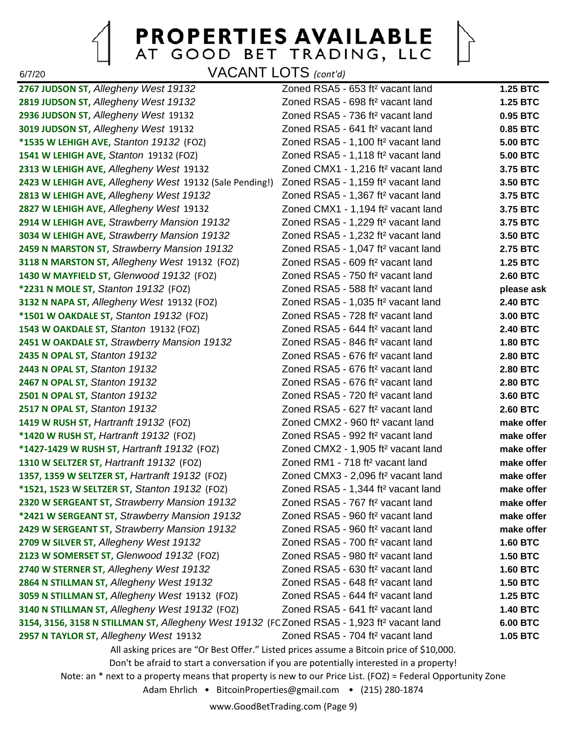$\bigcap$ 

6/7/20 VACANT LOTS *(cont'd)*

| 2767 JUDSON ST, Allegheny West 19132                                                                         | Zoned RSA5 - 653 ft <sup>2</sup> vacant land                                             | <b>1.25 BTC</b> |  |
|--------------------------------------------------------------------------------------------------------------|------------------------------------------------------------------------------------------|-----------------|--|
| 2819 JUDSON ST, Allegheny West 19132                                                                         | Zoned RSA5 - 698 ft <sup>2</sup> vacant land                                             | <b>1.25 BTC</b> |  |
| 2936 JUDSON ST, Allegheny West 19132                                                                         | Zoned RSA5 - 736 ft <sup>2</sup> vacant land                                             | 0.95 BTC        |  |
| 3019 JUDSON ST, Allegheny West 19132                                                                         | Zoned RSA5 - 641 ft <sup>2</sup> vacant land                                             | 0.85 BTC        |  |
| *1535 W LEHIGH AVE, Stanton 19132 (FOZ)                                                                      | Zoned RSA5 - 1,100 ft <sup>2</sup> vacant land                                           | <b>5.00 BTC</b> |  |
| 1541 W LEHIGH AVE, Stanton 19132 (FOZ)                                                                       | Zoned RSA5 - 1,118 ft <sup>2</sup> vacant land                                           | <b>5.00 BTC</b> |  |
| 2313 W LEHIGH AVE, Allegheny West 19132                                                                      | Zoned CMX1 - 1,216 ft <sup>2</sup> vacant land                                           | 3.75 BTC        |  |
| 2423 W LEHIGH AVE, Allegheny West 19132 (Sale Pending!)                                                      | Zoned RSA5 - 1,159 ft <sup>2</sup> vacant land                                           | 3.50 BTC        |  |
| 2813 W LEHIGH AVE, Allegheny West 19132                                                                      | Zoned RSA5 - 1,367 ft <sup>2</sup> vacant land                                           | 3.75 BTC        |  |
| 2827 W LEHIGH AVE, Allegheny West 19132                                                                      | Zoned CMX1 - 1,194 ft <sup>2</sup> vacant land                                           | 3.75 BTC        |  |
| 2914 W LEHIGH AVE, Strawberry Mansion 19132                                                                  | Zoned RSA5 - 1,229 ft <sup>2</sup> vacant land                                           | 3.75 BTC        |  |
| 3034 W LEHIGH AVE, Strawberry Mansion 19132                                                                  | Zoned RSA5 - 1,232 ft <sup>2</sup> vacant land                                           | 3.50 BTC        |  |
| 2459 N MARSTON ST, Strawberry Mansion 19132                                                                  | Zoned RSA5 - 1,047 ft <sup>2</sup> vacant land                                           | 2.75 BTC        |  |
| 3118 N MARSTON ST, Allegheny West 19132 (FOZ)                                                                | Zoned RSA5 - 609 ft <sup>2</sup> vacant land                                             | <b>1.25 BTC</b> |  |
| 1430 W MAYFIELD ST, Glenwood 19132 (FOZ)                                                                     | Zoned RSA5 - 750 ft <sup>2</sup> vacant land                                             | <b>2.60 BTC</b> |  |
| *2231 N MOLE ST, Stanton 19132 (FOZ)                                                                         | Zoned RSA5 - 588 ft <sup>2</sup> vacant land                                             | please ask      |  |
| 3132 N NAPA ST, Allegheny West 19132 (FOZ)                                                                   | Zoned RSA5 - 1,035 ft <sup>2</sup> vacant land                                           | <b>2.40 BTC</b> |  |
| *1501 W OAKDALE ST, Stanton 19132 (FOZ)                                                                      | Zoned RSA5 - 728 ft <sup>2</sup> vacant land                                             | 3.00 BTC        |  |
| 1543 W OAKDALE ST, Stanton 19132 (FOZ)                                                                       | Zoned RSA5 - 644 ft <sup>2</sup> vacant land                                             | <b>2.40 BTC</b> |  |
| 2451 W OAKDALE ST, Strawberry Mansion 19132                                                                  | Zoned RSA5 - 846 ft <sup>2</sup> vacant land                                             | <b>1.80 BTC</b> |  |
| 2435 N OPAL ST, Stanton 19132                                                                                | Zoned RSA5 - 676 ft <sup>2</sup> vacant land                                             | <b>2.80 BTC</b> |  |
| 2443 N OPAL ST, Stanton 19132                                                                                | Zoned RSA5 - 676 ft <sup>2</sup> vacant land                                             | <b>2.80 BTC</b> |  |
| 2467 N OPAL ST, Stanton 19132                                                                                | Zoned RSA5 - 676 ft <sup>2</sup> vacant land                                             | <b>2.80 BTC</b> |  |
| 2501 N OPAL ST, Stanton 19132                                                                                | Zoned RSA5 - 720 ft <sup>2</sup> vacant land                                             | 3.60 BTC        |  |
| 2517 N OPAL ST, Stanton 19132                                                                                | Zoned RSA5 - 627 ft <sup>2</sup> vacant land                                             | <b>2.60 BTC</b> |  |
| 1419 W RUSH ST, Hartranft 19132 (FOZ)                                                                        | Zoned CMX2 - 960 ft <sup>2</sup> vacant land                                             | make offer      |  |
| *1420 W RUSH ST, Hartranft 19132 (FOZ)                                                                       | Zoned RSA5 - 992 ft <sup>2</sup> vacant land                                             | make offer      |  |
| *1427-1429 W RUSH ST, Hartranft 19132 (FOZ)                                                                  | Zoned CMX2 - 1,905 ft <sup>2</sup> vacant land                                           | make offer      |  |
| 1310 W SELTZER ST, Hartranft 19132 (FOZ)                                                                     | Zoned RM1 - 718 ft <sup>2</sup> vacant land                                              | make offer      |  |
| 1357, 1359 W SELTZER ST, Hartranft 19132 (FOZ)                                                               | Zoned CMX3 - 2,096 ft <sup>2</sup> vacant land                                           | make offer      |  |
| *1521, 1523 W SELTZER ST, Stanton 19132 (FOZ)                                                                | Zoned RSA5 - 1,344 ft <sup>2</sup> vacant land                                           | make offer      |  |
| 2320 W SERGEANT ST, Strawberry Mansion 19132                                                                 | Zoned RSA5 - 767 ft <sup>2</sup> vacant land                                             | make offer      |  |
| *2421 W SERGEANT ST, Strawberry Mansion 19132                                                                | Zoned RSA5 - 960 ft <sup>2</sup> vacant land                                             | make offer      |  |
| 2429 W SERGEANT ST, Strawberry Mansion 19132                                                                 | Zoned RSA5 - 960 ft <sup>2</sup> vacant land                                             | make offer      |  |
| 2709 W SILVER ST, Allegheny West 19132                                                                       | Zoned RSA5 - 700 ft <sup>2</sup> vacant land                                             | <b>1.60 BTC</b> |  |
| 2123 W SOMERSET ST, Glenwood 19132 (FOZ)                                                                     | Zoned RSA5 - 980 ft <sup>2</sup> vacant land                                             | <b>1.50 BTC</b> |  |
| 2740 W STERNER ST, Allegheny West 19132                                                                      | Zoned RSA5 - 630 ft <sup>2</sup> vacant land                                             | <b>1.60 BTC</b> |  |
| 2864 N STILLMAN ST, Allegheny West 19132                                                                     | Zoned RSA5 - 648 ft <sup>2</sup> vacant land                                             | <b>1.50 BTC</b> |  |
| 3059 N STILLMAN ST, Allegheny West 19132 (FOZ)                                                               | Zoned RSA5 - 644 ft <sup>2</sup> vacant land                                             | <b>1.25 BTC</b> |  |
| 3140 N STILLMAN ST, Allegheny West 19132 (FOZ)                                                               | Zoned RSA5 - 641 ft <sup>2</sup> vacant land                                             | <b>1.40 BTC</b> |  |
| 3154, 3156, 3158 N STILLMAN ST, Allegheny West 19132 (FC Zoned RSA5 - 1,923 ft <sup>2</sup> vacant land      |                                                                                          | <b>6.00 BTC</b> |  |
| 2957 N TAYLOR ST, Allegheny West 19132                                                                       | Zoned RSA5 - 704 ft <sup>2</sup> vacant land                                             | 1.05 BTC        |  |
|                                                                                                              | All asking prices are "Or Best Offer." Listed prices assume a Bitcoin price of \$10,000. |                 |  |
| Don't be afraid to start a conversation if you are potentially interested in a property!                     |                                                                                          |                 |  |
| Note: an * next to a property means that property is new to our Price List. (FOZ) = Federal Opportunity Zone |                                                                                          |                 |  |
| Adam Ehrlich • BitcoinProperties@gmail.com • (215) 280-1874                                                  |                                                                                          |                 |  |
|                                                                                                              |                                                                                          |                 |  |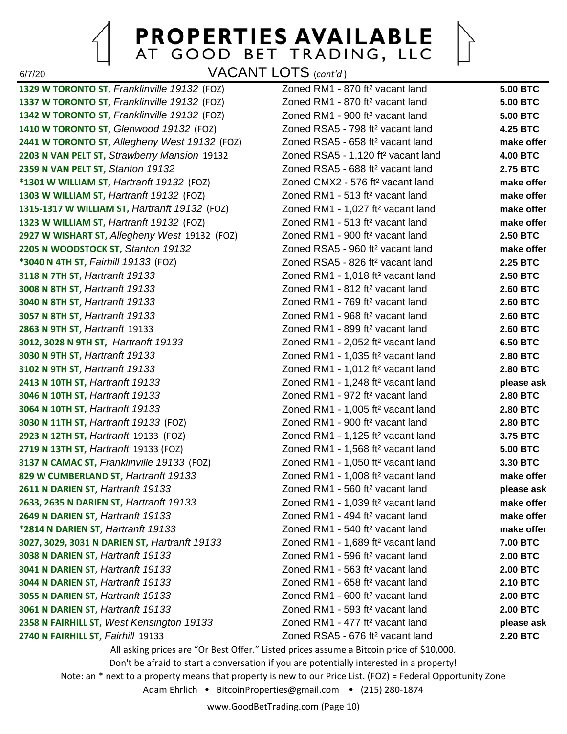6/7/20 VACANT LOTS (*cont'd* )

**1329 W TORONTO ST,** *Franklinville 19132* (FOZ) Zoned RM1 - 870 ft² vacant land **5.00 BTC 1337 W TORONTO ST,** *Franklinville 19132* (FOZ) Zoned RM1 - 870 ft² vacant land **5.00 BTC 1342 W TORONTO ST,** *Franklinville 19132* (FOZ) Zoned RM1 - 900 ft² vacant land **5.00 BTC 1410 W TORONTO ST,** *Glenwood 19132* (FOZ) Zoned RSA5 - 798 ft² vacant land **4.25 BTC 2441 W TORONTO ST,** *Allegheny West 19132* (FOZ) Zoned RSA5 - 658 ft² vacant land **make offer 2203 N VAN PELT ST,** *Strawberry Mansion* 19132 Zoned RSA5 - 1,120 ft² vacant land **4.00 BTC 2359 N VAN PELT ST,** *Stanton 19132* Zoned RSA5 - 688 ft² vacant land **2.75 BTC \*1301 W WILLIAM ST,** *Hartranft 19132* (FOZ) Zoned CMX2 - 576 ft² vacant land **make offer 1303 W WILLIAM ST,** *Hartranft 19132* (FOZ) Zoned RM1 - 513 ft² vacant land **make offer 1315-1317 W WILLIAM ST,** *Hartranft 19132* (FOZ) Zoned RM1 - 1,027 ft² vacant land **make offer 1323 W WILLIAM ST,** *Hartranft 19132* (FOZ) Zoned RM1 - 513 ft² vacant land **make offer 2927 W WISHART ST,** *Allegheny West* 19132 (FOZ) Zoned RM1 - 900 ft² vacant land **2.50 BTC 2205 N WOODSTOCK ST,** *Stanton 19132* Zoned RSA5 - 960 ft² vacant land **make offer \*3040 N 4TH ST,** *Fairhill 19133* (FOZ) Zoned RSA5 - 826 ft² vacant land **2.25 BTC 3118 N 7TH ST,** *Hartranft 19133* Zoned RM1 - 1,018 ft² vacant land **2.50 BTC 3008 N 8TH ST,** *Hartranft 19133* Zoned RM1 - 812 ft² vacant land **2.60 BTC 3040 N 8TH ST,** *Hartranft 19133* Zoned RM1 - 769 ft² vacant land **2.60 BTC 3057 N 8TH ST,** *Hartranft 19133* Zoned RM1 - 968 ft² vacant land **2.60 BTC 2863 N 9TH ST,** *Hartranft* 19133 Zoned RM1 - 899 ft² vacant land **2.60 BTC 3012, 3028 N 9TH ST,** *Hartranft 19133* Zoned RM1 - 2,052 ft² vacant land **6.50 BTC 3030 N 9TH ST,** *Hartranft 19133* Zoned RM1 - 1,035 ft² vacant land **2.80 BTC 3102 N 9TH ST,** *Hartranft 19133* Zoned RM1 - 1,012 ft² vacant land **2.80 BTC 2413 N 10TH ST,** *Hartranft 19133* Zoned RM1 - 1,248 ft² vacant land **please ask 3046 N 10TH ST,** *Hartranft 19133* Zoned RM1 - 972 ft² vacant land **2.80 BTC 3064 N 10TH ST,** *Hartranft 19133* Zoned RM1 - 1,005 ft² vacant land **2.80 BTC 3030 N 11TH ST,** *Hartranft 19133* (FOZ) Zoned RM1 - 900 ft² vacant land **2.80 BTC 2923 N 12TH ST,** *Hartranft* 19133 (FOZ) Zoned RM1 - 1,125 ft² vacant land **3.75 BTC 2719 N 13TH ST,** *Hartranft* 19133 (FOZ) Zoned RM1 - 1,568 ft² vacant land **5.00 BTC 3137 N CAMAC ST,** *Franklinville 19133* (FOZ) Zoned RM1 - 1,050 ft² vacant land **3.30 BTC 829 W CUMBERLAND ST,** *Hartranft 19133* Zoned RM1 - 1,008 ft² vacant land **make offer 2611 N DARIEN ST,** *Hartranft 19133* Zoned RM1 - 560 ft² vacant land **please ask 2633, 2635 N DARIEN ST,** *Hartranft 19133* Zoned RM1 - 1,039 ft² vacant land **make offer 2649 N DARIEN ST,** *Hartranft 19133* Zoned RM1 - 494 ft² vacant land **make offer \*2814 N DARIEN ST,** *Hartranft 19133* Zoned RM1 - 540 ft² vacant land **make offer 3027, 3029, 3031 N DARIEN ST,** *Hartranft 19133* Zoned RM1 - 1,689 ft² vacant land **7.00 BTC 3038 N DARIEN ST,** *Hartranft 19133* Zoned RM1 - 596 ft² vacant land **2.00 BTC 3041 N DARIEN ST,** *Hartranft 19133* Zoned RM1 - 563 ft² vacant land **2.00 BTC 3044 N DARIEN ST,** *Hartranft 19133* Zoned RM1 - 658 ft² vacant land **2.10 BTC 3055 N DARIEN ST,** *Hartranft 19133* Zoned RM1 - 600 ft² vacant land **2.00 BTC 3061 N DARIEN ST,** *Hartranft 19133* Zoned RM1 - 593 ft² vacant land **2.00 BTC 2358 N FAIRHILL ST,** *West Kensington 19133* Zoned RM1 - 477 ft² vacant land **please ask 2740 N FAIRHILL ST,** *Fairhill* 19133 Zoned RSA5 - 676 ft² vacant land **2.20 BTC**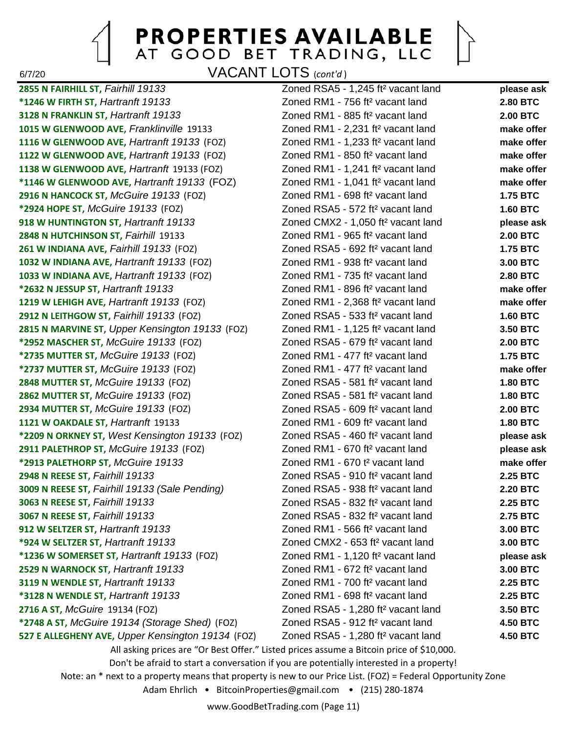6/7/20 VACANT LOTS (*cont'd* )

**2855 N FAIRHILL ST,** *Fairhill 19133* Zoned RSA5 - 1,245 ft² vacant land **please ask \*1246 W FIRTH ST,** *Hartranft 19133* Zoned RM1 - 756 ft² vacant land **2.80 BTC 3128 N FRANKLIN ST,** *Hartranft 19133* Zoned RM1 - 885 ft² vacant land **2.00 BTC 1015 W GLENWOOD AVE,** *Franklinville* 19133 Zoned RM1 - 2,231 ft² vacant land **make offer 1116 W GLENWOOD AVE,** *Hartranft 19133* (FOZ) Zoned RM1 - 1,233 ft² vacant land **make offer 1122 W GLENWOOD AVE,** *Hartranft 19133* (FOZ) Zoned RM1 - 850 ft² vacant land **make offer 1138 W GLENWOOD AVE,** *Hartranft* 19133 (FOZ) Zoned RM1 - 1,241 ft² vacant land **make offer \*1146 W GLENWOOD AVE,** *Hartranft 19133* (FOZ) Zoned RM1 - 1,041 ft² vacant land **make offer 2916 N HANCOCK ST,** *McGuire 19133* (FOZ) Zoned RM1 - 698 ft² vacant land **1.75 BTC \*2924 HOPE ST,** *McGuire 19133* (FOZ) Zoned RSA5 - 572 ft² vacant land **1.60 BTC 918 W HUNTINGTON ST,** *Hartranft 19133* Zoned CMX2 - 1,050 ft² vacant land **please ask 2848 N HUTCHINSON ST,** *Fairhill* 19133 Zoned RM1 - 965 ft² vacant land **2.00 BTC 261 W INDIANA AVE,** *Fairhill 19133* (FOZ) Zoned RSA5 - 692 ft² vacant land **1.75 BTC 1032 W INDIANA AVE,** *Hartranft 19133* (FOZ) Zoned RM1 - 938 ft² vacant land **3.00 BTC 1033 W INDIANA AVE,** *Hartranft 19133* (FOZ) Zoned RM1 - 735 ft² vacant land **2.80 BTC \*2632 N JESSUP ST,** *Hartranft 19133* Zoned RM1 - 896 ft² vacant land **make offer 1219 W LEHIGH AVE,** *Hartranft 19133* (FOZ) Zoned RM1 - 2,368 ft² vacant land **make offer 2912 N LEITHGOW ST,** *Fairhill 19133* (FOZ) Zoned RSA5 - 533 ft² vacant land **1.60 BTC 2815 N MARVINE ST,** *Upper Kensington 19133* (FOZ) Zoned RM1 - 1,125 ft² vacant land **3.50 BTC \*2952 MASCHER ST,** *McGuire 19133* (FOZ) Zoned RSA5 - 679 ft² vacant land **2.00 BTC \*2735 MUTTER ST,** *McGuire 19133* (FOZ) Zoned RM1 - 477 ft² vacant land **1.75 BTC \*2737 MUTTER ST,** *McGuire 19133* (FOZ) Zoned RM1 - 477 ft² vacant land **make offer 2848 MUTTER ST,** *McGuire 19133* (FOZ) Zoned RSA5 - 581 ft² vacant land **1.80 BTC 2862 MUTTER ST,** *McGuire 19133* (FOZ) Zoned RSA5 - 581 ft² vacant land **1.80 BTC 2934 MUTTER ST,** *McGuire 19133* (FOZ) Zoned RSA5 - 609 ft² vacant land **2.00 BTC 1121 W OAKDALE ST,** *Hartranft* 19133 Zoned RM1 - 609 ft² vacant land **1.80 BTC \*2209 N ORKNEY ST,** *West Kensington 19133* (FOZ) Zoned RSA5 - 460 ft² vacant land **please ask 2911 PALETHROP ST,** *McGuire 19133* (FOZ) Zoned RM1 - 670 ft² vacant land **please ask \*2913 PALETHORP ST,** *McGuire 19133* Zoned RM1 - 670 t² vacant land **make offer 2948 N REESE ST,** *Fairhill 19133* Zoned RSA5 - 910 ft² vacant land **2.25 BTC 3009 N REESE ST,** *Fairhill 19133 (Sale Pending)* Zoned RSA5 - 938 ft² vacant land **2.20 BTC 3063 N REESE ST,** *Fairhill 19133* Zoned RSA5 - 832 ft² vacant land **2.25 BTC 3067 N REESE ST,** *Fairhill 19133* Zoned RSA5 - 832 ft² vacant land **2.75 BTC 912 W SELTZER ST,** *Hartranft 19133* Zoned RM1 - 566 ft² vacant land **3.00 BTC \*924 W SELTZER ST,** *Hartranft 19133* Zoned CMX2 - 653 ft² vacant land **3.00 BTC \*1236 W SOMERSET ST,** *Hartranft 19133* (FOZ) Zoned RM1 - 1,120 ft² vacant land **please ask 2529 N WARNOCK ST,** *Hartranft 19133* Zoned RM1 - 672 ft² vacant land **3.00 BTC 3119 N WENDLE ST,** *Hartranft 19133* Zoned RM1 - 700 ft² vacant land **2.25 BTC \*3128 N WENDLE ST,** *Hartranft 19133* Zoned RM1 - 698 ft² vacant land **2.25 BTC 2716 A ST,** *McGuire* 19134 (FOZ) Zoned RSA5 - 1,280 ft² vacant land **3.50 BTC \*2748 A ST,** *McGuire 19134 (Storage Shed)* (FOZ) Zoned RSA5 - 912 ft² vacant land **4.50 BTC 527 E ALLEGHENY AVE,** *Upper Kensington 19134* (FOZ) Zoned RSA5 - 1,280 ft² vacant land **4.50 BTC** All asking prices are "Or Best Offer." Listed prices assume a Bitcoin price of \$10,000. Don't be afraid to start a conversation if you are potentially interested in a property! Note: an \* next to a property means that property is new to our Price List. (FOZ) = Federal Opportunity Zone Adam Ehrlich • BitcoinProperties@gmail.com • (215) 280-1874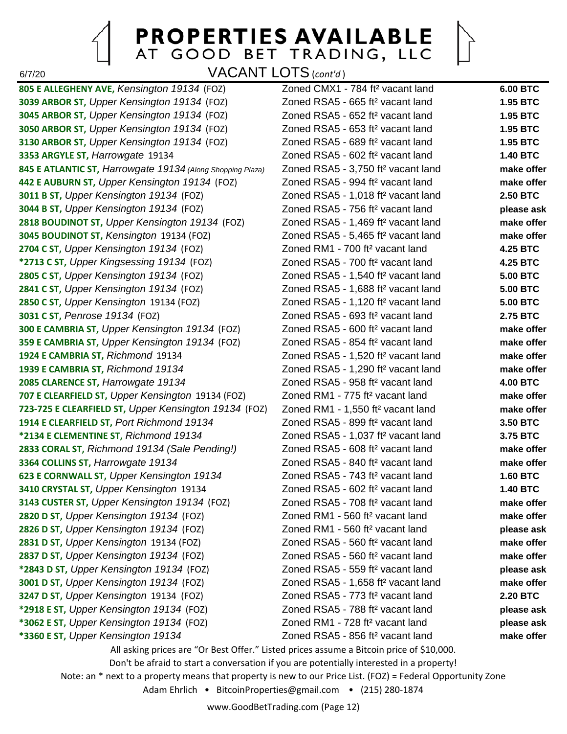6/7/20 VACANT LOTS (*cont'd* )

**3039 ARBOR ST,** *Upper Kensington 19134* (FOZ) Zoned RSA5 - 665 ft² vacant land **1.95 BTC 3045 ARBOR ST,** *Upper Kensington 19134* (FOZ) Zoned RSA5 - 652 ft² vacant land **1.95 BTC 3050 ARBOR ST,** *Upper Kensington 19134* (FOZ) Zoned RSA5 - 653 ft² vacant land **1.95 BTC 3130 ARBOR ST,** *Upper Kensington 19134* (FOZ) Zoned RSA5 - 689 ft² vacant land **1.95 BTC 3353 ARGYLE ST,** *Harrowgate* 19134 Zoned RSA5 - 602 ft² vacant land **1.40 BTC 845 E ATLANTIC ST,** *Harrowgate 19134 (Along Shopping Plaza)* Zoned RSA5 - 3,750 ft² vacant land **make offer 442 E AUBURN ST,** *Upper Kensington 19134* (FOZ) Zoned RSA5 - 994 ft² vacant land **make offer 3011 B ST,** *Upper Kensington 19134* (FOZ) Zoned RSA5 - 1,018 ft² vacant land **2.50 BTC 3044 B ST,** *Upper Kensington 19134* (FOZ) Zoned RSA5 - 756 ft² vacant land **please ask 2818 BOUDINOT ST,** *Upper Kensington 19134* (FOZ) Zoned RSA5 - 1,469 ft² vacant land **make offer 3045 BOUDINOT ST,** *Kensington* 19134 (FOZ) Zoned RSA5 - 5,465 ft² vacant land **make offer 2704 C ST,** *Upper Kensington 19134* (FOZ) Zoned RM1 - 700 ft² vacant land **4.25 BTC \*2713 C ST,** *Upper Kingsessing 19134* (FOZ) Zoned RSA5 - 700 ft² vacant land **4.25 BTC 2805 C ST,** *Upper Kensington 19134* (FOZ) Zoned RSA5 - 1,540 ft² vacant land **5.00 BTC 2841 C ST,** *Upper Kensington 19134* (FOZ) Zoned RSA5 - 1,688 ft² vacant land **5.00 BTC 2850 C ST,** *Upper Kensington* 19134 (FOZ) Zoned RSA5 - 1,120 ft² vacant land **5.00 BTC 3031 C ST,** *Penrose 19134* (FOZ) Zoned RSA5 - 693 ft² vacant land **2.75 BTC 300 E CAMBRIA ST,** *Upper Kensington 19134* (FOZ) Zoned RSA5 - 600 ft² vacant land **make offer 359 E CAMBRIA ST,** *Upper Kensington 19134* (FOZ) Zoned RSA5 - 854 ft² vacant land **make offer 1924 E CAMBRIA ST,** *Richmond* 19134 Zoned RSA5 - 1,520 ft² vacant land **make offer 1939 E CAMBRIA ST,** *Richmond 19134* Zoned RSA5 - 1,290 ft² vacant land **make offer 2085 CLARENCE ST,** *Harrowgate 19134* Zoned RSA5 - 958 ft² vacant land **4.00 BTC 707 E CLEARFIELD ST,** *Upper Kensington* 19134 (FOZ) Zoned RM1 - 775 ft² vacant land **make offer 723-725 E CLEARFIELD ST,** *Upper Kensington 19134* (FOZ) Zoned RM1 - 1,550 ft² vacant land **make offer 1914 E CLEARFIELD ST,** *Port Richmond 19134* Zoned RSA5 - 899 ft² vacant land **3.50 BTC \*2134 E CLEMENTINE ST,** *Richmond 19134* Zoned RSA5 - 1,037 ft² vacant land **3.75 BTC 2833 CORAL ST,** *Richmond 19134 (Sale Pending!)* Zoned RSA5 - 608 ft² vacant land **make offer 3364 COLLINS ST,** *Harrowgate 19134* Zoned RSA5 - 840 ft² vacant land **make offer 623 E CORNWALL ST,** *Upper Kensington 19134* Zoned RSA5 - 743 ft² vacant land **1.60 BTC 3410 CRYSTAL ST,** *Upper Kensington* 19134 Zoned RSA5 - 602 ft² vacant land **1.40 BTC 3143 CUSTER ST,** *Upper Kensington 19134* (FOZ) Zoned RSA5 - 708 ft² vacant land **make offer 2820 D ST,** *Upper Kensington 19134* (FOZ) Zoned RM1 - 560 ft² vacant land **make offer 2826 D ST,** *Upper Kensington 19134* (FOZ) Zoned RM1 - 560 ft² vacant land **please ask 2831 D ST,** *Upper Kensington* 19134 (FOZ) Zoned RSA5 - 560 ft² vacant land **make offer 2837 D ST,** *Upper Kensington 19134* (FOZ) Zoned RSA5 - 560 ft² vacant land **make offer \*2843 D ST,** *Upper Kensington 19134* (FOZ) Zoned RSA5 - 559 ft² vacant land **please ask 3001 D ST,** *Upper Kensington 19134* (FOZ) Zoned RSA5 - 1,658 ft² vacant land **make offer 3247 D ST,** *Upper Kensington* 19134 (FOZ) Zoned RSA5 - 773 ft² vacant land **2.20 BTC \*2918 E ST,** *Upper Kensington 19134* (FOZ) Zoned RSA5 - 788 ft² vacant land **please ask \*3062 E ST,** *Upper Kensington 19134* (FOZ) Zoned RM1 - 728 ft² vacant land **please ask \*3360 E ST,** *Upper Kensington 19134* Zoned RSA5 - 856 ft² vacant land **make offer**

**805 E ALLEGHENY AVE,** *Kensington 19134* (FOZ) Zoned CMX1 - 784 ft² vacant land **6.00 BTC**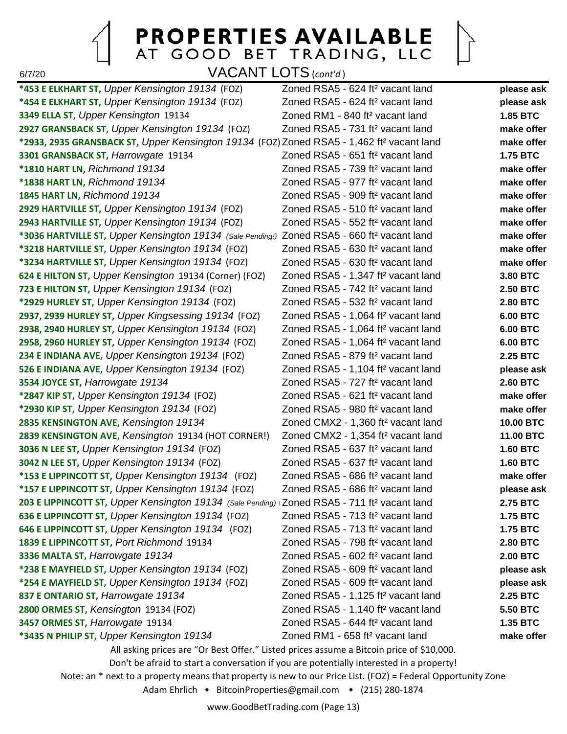$\left\vert \right\rangle$ 

6/7/20 VACANT LOTS (*cont'd* )

| *453 E ELKHART ST, Upper Kensington 19134 (FOZ)                                                         | Zoned RSA5 - 624 ft <sup>2</sup> vacant land                                             | please ask      |  |
|---------------------------------------------------------------------------------------------------------|------------------------------------------------------------------------------------------|-----------------|--|
| *454 E ELKHART ST, Upper Kensington 19134 (FOZ)                                                         | Zoned RSA5 - 624 ft <sup>2</sup> vacant land                                             | please ask      |  |
| 3349 ELLA ST, Upper Kensington 19134                                                                    | Zoned RM1 - 840 ft <sup>2</sup> vacant land                                              | <b>1.85 BTC</b> |  |
| 2927 GRANSBACK ST, Upper Kensington 19134 (FOZ)                                                         | Zoned RSA5 - 731 ft <sup>2</sup> vacant land                                             | make offer      |  |
| *2933, 2935 GRANSBACK ST, Upper Kensington 19134 (FOZ) Zoned RSA5 - 1,462 ft <sup>2</sup> vacant land   |                                                                                          | make offer      |  |
| 3301 GRANSBACK ST, Harrowgate 19134                                                                     | Zoned RSA5 - 651 ft <sup>2</sup> vacant land                                             | <b>1.75 BTC</b> |  |
| *1810 HART LN, Richmond 19134                                                                           | Zoned RSA5 - 739 ft <sup>2</sup> vacant land                                             | make offer      |  |
| *1838 HART LN, Richmond 19134                                                                           | Zoned RSA5 - 977 ft <sup>2</sup> vacant land                                             | make offer      |  |
| 1845 HART LN, Richmond 19134                                                                            | Zoned RSA5 - 909 ft <sup>2</sup> vacant land                                             | make offer      |  |
| 2929 HARTVILLE ST, Upper Kensington 19134 (FOZ)                                                         | Zoned RSA5 - 510 ft <sup>2</sup> vacant land                                             | make offer      |  |
| 2943 HARTVILLE ST, Upper Kensington 19134 (FOZ)                                                         | Zoned RSA5 - 552 ft <sup>2</sup> vacant land                                             | make offer      |  |
| *3036 HARTVILLE ST, Upper Kensington 19134 (Sale Pending!)                                              | Zoned RSA5 - 660 ft <sup>2</sup> vacant land                                             | make offer      |  |
| *3218 HARTVILLE ST, Upper Kensington 19134 (FOZ)                                                        | Zoned RSA5 - 630 ft <sup>2</sup> vacant land                                             | make offer      |  |
| *3234 HARTVILLE ST, Upper Kensington 19134 (FOZ)                                                        | Zoned RSA5 - 630 ft <sup>2</sup> vacant land                                             | make offer      |  |
| 624 E HILTON ST, Upper Kensington 19134 (Corner) (FOZ)                                                  | Zoned RSA5 - 1,347 ft <sup>2</sup> vacant land                                           | 3.80 BTC        |  |
| 723 E HILTON ST, Upper Kensington 19134 (FOZ)                                                           | Zoned RSA5 - 742 ft <sup>2</sup> vacant land                                             | <b>2.50 BTC</b> |  |
| *2929 HURLEY ST, Upper Kensington 19134 (FOZ)                                                           | Zoned RSA5 - 532 ft <sup>2</sup> vacant land                                             | 2.80 BTC        |  |
| 2937, 2939 HURLEY ST, Upper Kingsessing 19134 (FOZ)                                                     | Zoned RSA5 - 1,064 ft <sup>2</sup> vacant land                                           | <b>6.00 BTC</b> |  |
| 2938, 2940 HURLEY ST, Upper Kensington 19134 (FOZ)                                                      | Zoned RSA5 - 1,064 ft <sup>2</sup> vacant land                                           | <b>6.00 BTC</b> |  |
| 2958, 2960 HURLEY ST, Upper Kensington 19134 (FOZ)                                                      | Zoned RSA5 - 1,064 ft <sup>2</sup> vacant land                                           | 6.00 BTC        |  |
| 234 E INDIANA AVE, Upper Kensington 19134 (FOZ)                                                         | Zoned RSA5 - 879 ft <sup>2</sup> vacant land                                             | <b>2.25 BTC</b> |  |
| 526 E INDIANA AVE, Upper Kensington 19134 (FOZ)                                                         | Zoned RSA5 - 1,104 ft <sup>2</sup> vacant land                                           | please ask      |  |
| 3534 JOYCE ST, Harrowgate 19134                                                                         | Zoned RSA5 - 727 ft <sup>2</sup> vacant land                                             | <b>2.60 BTC</b> |  |
| *2847 KIP ST, Upper Kensington 19134 (FOZ)                                                              | Zoned RSA5 - 621 ft <sup>2</sup> vacant land                                             | make offer      |  |
| *2930 KIP ST, Upper Kensington 19134 (FOZ)                                                              | Zoned RSA5 - 980 ft <sup>2</sup> vacant land                                             | make offer      |  |
| 2835 KENSINGTON AVE, Kensington 19134                                                                   | Zoned CMX2 - 1,360 ft <sup>2</sup> vacant land                                           | 10.00 BTC       |  |
| 2839 KENSINGTON AVE, Kensington 19134 (HOT CORNER!)                                                     | Zoned CMX2 - 1,354 ft <sup>2</sup> vacant land                                           | 11.00 BTC       |  |
| 3036 N LEE ST, Upper Kensington 19134 (FOZ)                                                             | Zoned RSA5 - 637 ft <sup>2</sup> vacant land                                             | <b>1.60 BTC</b> |  |
| 3042 N LEE ST, Upper Kensington 19134 (FOZ)                                                             | Zoned RSA5 - 637 ft <sup>2</sup> vacant land                                             | <b>1.60 BTC</b> |  |
| *153 E LIPPINCOTT ST, Upper Kensington 19134 (FOZ)                                                      | Zoned RSA5 - 686 ft <sup>2</sup> vacant land                                             | make offer      |  |
| *157 E LIPPINCOTT ST, Upper Kensington 19134 (FOZ)                                                      | Zoned RSA5 - 686 ft <sup>2</sup> vacant land                                             | please ask      |  |
| 203 E LIPPINCOTT ST, Upper Kensington 19134 (Sale Pending) Zoned RSA5 - 711 ft <sup>2</sup> vacant land |                                                                                          | <b>2.75 BTC</b> |  |
| 636 E LIPPINCOTT ST, Upper Kensington 19134 (FOZ)                                                       | Zoned RSA5 - 713 ft <sup>2</sup> vacant land                                             | <b>1.75 BTC</b> |  |
| 646 E LIPPINCOTT ST, Upper Kensington 19134 (FOZ)                                                       | Zoned RSA5 - 713 ft <sup>2</sup> vacant land                                             | <b>1.75 BTC</b> |  |
| 1839 E LIPPINCOTT ST, Port Richmond 19134                                                               | Zoned RSA5 - 798 ft <sup>2</sup> vacant land                                             | 2.80 BTC        |  |
| 3336 MALTA ST, Harrowgate 19134                                                                         | Zoned RSA5 - 602 ft <sup>2</sup> vacant land                                             | <b>2.00 BTC</b> |  |
| *238 E MAYFIELD ST, Upper Kensington 19134 (FOZ)                                                        | Zoned RSA5 - 609 ft <sup>2</sup> vacant land                                             | please ask      |  |
| *254 E MAYFIELD ST, Upper Kensington 19134 (FOZ)                                                        | Zoned RSA5 - 609 ft <sup>2</sup> vacant land                                             | please ask      |  |
| 837 E ONTARIO ST, Harrowgate 19134                                                                      | Zoned RSA5 - 1,125 ft <sup>2</sup> vacant land                                           | 2.25 BTC        |  |
| 2800 ORMES ST, Kensington 19134 (FOZ)                                                                   | Zoned RSA5 - 1,140 ft <sup>2</sup> vacant land                                           | 5.50 BTC        |  |
| 3457 ORMES ST, Harrowgate 19134                                                                         | Zoned RSA5 - 644 ft <sup>2</sup> vacant land                                             | 1.35 BTC        |  |
| *3435 N PHILIP ST, Upper Kensington 19134                                                               | Zoned RM1 - 658 ft <sup>2</sup> vacant land                                              | make offer      |  |
|                                                                                                         | All asking prices are "Or Best Offer." Listed prices assume a Bitcoin price of \$10,000. |                 |  |
| Don't be afraid to start a conversation if you are potentially interested in a property!                |                                                                                          |                 |  |

Note: an \* next to a property means that property is new to our Price List. (FOZ) = Federal Opportunity Zone

Adam Ehrlich • BitcoinProperties@gmail.com • (215) 280-1874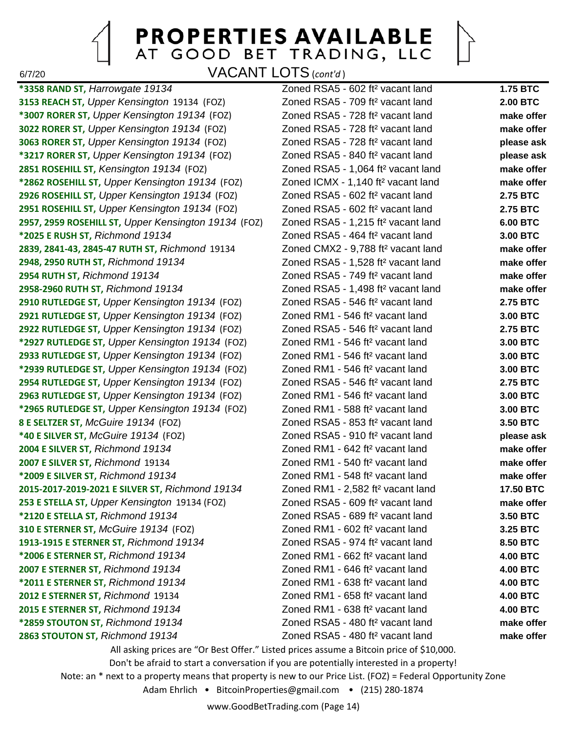6/7/20 VACANT LOTS (*cont'd* )

**\*3358 RAND ST,** *Harrowgate 19134* Zoned RSA5 - 602 ft² vacant land **1.75 BTC 3153 REACH ST,** *Upper Kensington* 19134 (FOZ) Zoned RSA5 - 709 ft² vacant land **2.00 BTC \*3007 RORER ST,** *Upper Kensington 19134* (FOZ) Zoned RSA5 - 728 ft² vacant land **make offer 3022 RORER ST,** *Upper Kensington 19134* (FOZ) Zoned RSA5 - 728 ft² vacant land **make offer 3063 RORER ST,** *Upper Kensington 19134* (FOZ) Zoned RSA5 - 728 ft² vacant land **please ask \*3217 RORER ST,** *Upper Kensington 19134* (FOZ) Zoned RSA5 - 840 ft² vacant land **please ask 2851 ROSEHILL ST,** *Kensington 19134* (FOZ) Zoned RSA5 - 1,064 ft² vacant land **make offer \*2862 ROSEHILL ST,** *Upper Kensington 19134* (FOZ) Zoned ICMX - 1,140 ft² vacant land **make offer 2926 ROSEHILL ST,** *Upper Kensington 19134* (FOZ) Zoned RSA5 - 602 ft² vacant land **2.75 BTC 2951 ROSEHILL ST,** *Upper Kensington 19134* (FOZ) Zoned RSA5 - 602 ft² vacant land **2.75 BTC 2957, 2959 ROSEHILL ST,** *Upper Kensington 19134* (FOZ) Zoned RSA5 - 1,215 ft² vacant land **6.00 BTC \*2025 E RUSH ST,** *Richmond 19134* Zoned RSA5 - 464 ft² vacant land **3.00 BTC 2839, 2841-43, 2845-47 RUTH ST,** *Richmond* 19134 Zoned CMX2 - 9,788 ft² vacant land **make offer 2948, 2950 RUTH ST,** *Richmond 19134* Zoned RSA5 - 1,528 ft² vacant land **make offer 2954 RUTH ST,** *Richmond 19134* Zoned RSA5 - 749 ft² vacant land **make offer 2958-2960 RUTH ST,** *Richmond 19134* Zoned RSA5 - 1,498 ft² vacant land **make offer 2910 RUTLEDGE ST,** *Upper Kensington 19134* (FOZ) Zoned RSA5 - 546 ft² vacant land **2.75 BTC 2921 RUTLEDGE ST,** *Upper Kensington 19134* (FOZ) Zoned RM1 - 546 ft² vacant land **3.00 BTC 2922 RUTLEDGE ST,** *Upper Kensington 19134* (FOZ) Zoned RSA5 - 546 ft² vacant land **2.75 BTC \*2927 RUTLEDGE ST,** *Upper Kensington 19134* (FOZ) Zoned RM1 - 546 ft² vacant land **3.00 BTC 2933 RUTLEDGE ST,** *Upper Kensington 19134* (FOZ) Zoned RM1 - 546 ft² vacant land **3.00 BTC \*2939 RUTLEDGE ST,** *Upper Kensington 19134* (FOZ) Zoned RM1 - 546 ft² vacant land **3.00 BTC 2954 RUTLEDGE ST,** *Upper Kensington 19134* (FOZ) Zoned RSA5 - 546 ft² vacant land **2.75 BTC 2963 RUTLEDGE ST,** *Upper Kensington 19134* (FOZ) Zoned RM1 - 546 ft² vacant land **3.00 BTC \*2965 RUTLEDGE ST,** *Upper Kensington 19134* (FOZ) Zoned RM1 - 588 ft² vacant land **3.00 BTC 8 E SELTZER ST,** *McGuire 19134* (FOZ) Zoned RSA5 - 853 ft² vacant land **3.50 BTC \*40 E SILVER ST,** *McGuire 19134* (FOZ) Zoned RSA5 - 910 ft² vacant land **please ask 2004 E SILVER ST,** *Richmond 19134* Zoned RM1 - 642 ft² vacant land **make offer 2007 E SILVER ST,** *Richmond* 19134 Zoned RM1 - 540 ft² vacant land **make offer \*2009 E SILVER ST,** *Richmond 19134* Zoned RM1 - 548 ft² vacant land **make offer 2015-2017-2019-2021 E SILVER ST,** *Richmond 19134* Zoned RM1 - 2,582 ft² vacant land **17.50 BTC 253 E STELLA ST,** *Upper Kensington* 19134 (FOZ) Zoned RSA5 - 609 ft² vacant land **make offer \*2120 E STELLA ST,** *Richmond 19134* Zoned RSA5 - 689 ft² vacant land **3.50 BTC 310 E STERNER ST,** *McGuire 19134* (FOZ) Zoned RM1 - 602 ft² vacant land **3.25 BTC 1913-1915 E STERNER ST,** *Richmond 19134* Zoned RSA5 - 974 ft² vacant land **8.50 BTC \*2006 E STERNER ST,** *Richmond 19134* Zoned RM1 - 662 ft² vacant land **4.00 BTC 2007 E STERNER ST,** *Richmond 19134* Zoned RM1 - 646 ft² vacant land **4.00 BTC \*2011 E STERNER ST,** *Richmond 19134* Zoned RM1 - 638 ft² vacant land **4.00 BTC 2012 E STERNER ST,** *Richmond* 19134 Zoned RM1 - 658 ft² vacant land **4.00 BTC 2015 E STERNER ST,** *Richmond 19134* Zoned RM1 - 638 ft² vacant land **4.00 BTC \*2859 STOUTON ST,** *Richmond 19134* Zoned RSA5 - 480 ft² vacant land **make offer 2863 STOUTON ST,** *Richmond 19134* Zoned RSA5 - 480 ft² vacant land **make offer**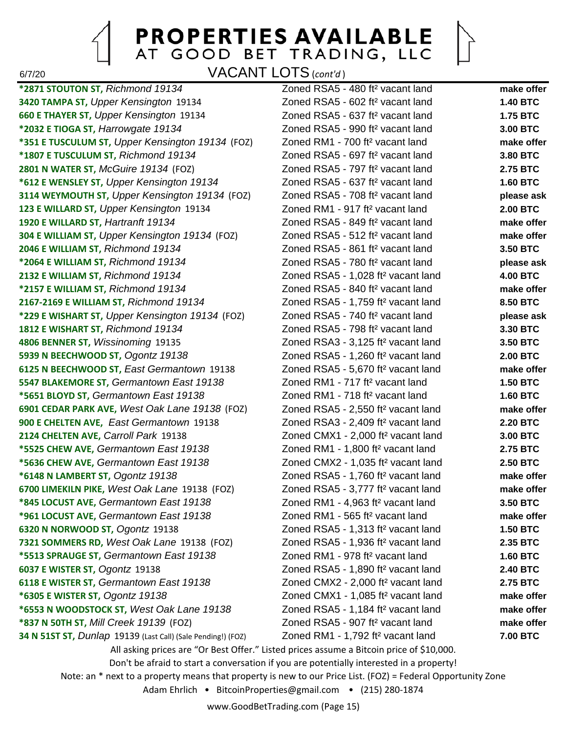6/7/20 VACANT LOTS (*cont'd* )

**\*2871 STOUTON ST,** *Richmond 19134* Zoned RSA5 - 480 ft² vacant land **make offer 3420 TAMPA ST,** *Upper Kensington* 19134 Zoned RSA5 - 602 ft² vacant land **1.40 BTC 660 E THAYER ST,** *Upper Kensington* 19134 Zoned RSA5 - 637 ft² vacant land **1.75 BTC \*2032 E TIOGA ST,** *Harrowgate 19134* Zoned RSA5 - 990 ft² vacant land **3.00 BTC \*351 E TUSCULUM ST,** *Upper Kensington 19134* (FOZ) Zoned RM1 - 700 ft² vacant land **make offer \*1807 E TUSCULUM ST,** *Richmond 19134* Zoned RSA5 - 697 ft² vacant land **3.80 BTC 2801 N WATER ST,** *McGuire 19134* (FOZ) Zoned RSA5 - 797 ft² vacant land **2.75 BTC \*612 E WENSLEY ST,** *Upper Kensington 19134* Zoned RSA5 - 637 ft² vacant land **1.60 BTC 3114 WEYMOUTH ST,** *Upper Kensington 19134* (FOZ) Zoned RSA5 - 708 ft² vacant land **please ask 123 E WILLARD ST,** *Upper Kensington* 19134 Zoned RM1 - 917 ft² vacant land **2.00 BTC 1920 E WILLARD ST,** *Hartranft 19134* Zoned RSA5 - 849 ft² vacant land **make offer 304 E WILLIAM ST,** *Upper Kensington 19134* (FOZ) Zoned RSA5 - 512 ft² vacant land **make offer 2046 E WILLIAM ST,** *Richmond 19134* Zoned RSA5 - 861 ft² vacant land **3.50 BTC \*2064 E WILLIAM ST,** *Richmond 19134* Zoned RSA5 - 780 ft² vacant land **please ask 2132 E WILLIAM ST,** *Richmond 19134* Zoned RSA5 - 1,028 ft² vacant land **4.00 BTC \*2157 E WILLIAM ST,** *Richmond 19134* Zoned RSA5 - 840 ft² vacant land **make offer 2167-2169 E WILLIAM ST,** *Richmond 19134* Zoned RSA5 - 1,759 ft² vacant land **8.50 BTC \*229 E WISHART ST,** *Upper Kensington 19134* (FOZ) Zoned RSA5 - 740 ft² vacant land **please ask 1812 E WISHART ST,** *Richmond 19134* Zoned RSA5 - 798 ft² vacant land **3.30 BTC 4806 BENNER ST,** *Wissinoming* 19135 Zoned RSA3 - 3,125 ft² vacant land **3.50 BTC 5939 N BEECHWOOD ST,** *Ogontz 19138* Zoned RSA5 - 1,260 ft² vacant land **2.00 BTC 6125 N BEECHWOOD ST,** *East Germantown* 19138 Zoned RSA5 - 5,670 ft² vacant land **make offer 5547 BLAKEMORE ST,** *Germantown East 19138* Zoned RM1 - 717 ft² vacant land **1.50 BTC \*5651 BLOYD ST,** *Germantown East 19138* Zoned RM1 - 718 ft² vacant land **1.60 BTC 6901 CEDAR PARK AVE,** *West Oak Lane 19138* (FOZ) Zoned RSA5 - 2,550 ft² vacant land **make offer 900 E CHELTEN AVE,** *East Germantown* 19138 Zoned RSA3 - 2,409 ft² vacant land **2.20 BTC 2124 CHELTEN AVE,** *Carroll Park* 19138 Zoned CMX1 - 2,000 ft² vacant land **3.00 BTC \*5525 CHEW AVE,** *Germantown East 19138* Zoned RM1 - 1,800 ft² vacant land **2.75 BTC \*5636 CHEW AVE,** *Germantown East 19138* Zoned CMX2 - 1,035 ft² vacant land **2.50 BTC \*6148 N LAMBERT ST,** *Ogontz 19138* Zoned RSA5 - 1,760 ft² vacant land **make offer 6700 LIMEKILN PIKE,** *West Oak Lane* 19138 (FOZ) Zoned RSA5 - 3,777 ft² vacant land **make offer \*845 LOCUST AVE,** *Germantown East 19138* Zoned RM1 - 4,963 ft² vacant land **3.50 BTC \*961 LOCUST AVE,** *Germantown East 19138* Zoned RM1 - 565 ft² vacant land **make offer 6320 N NORWOOD ST,** *Ogontz* 19138 Zoned RSA5 - 1,313 ft² vacant land **1.50 BTC 7321 SOMMERS RD,** *West Oak Lane* 19138 (FOZ) Zoned RSA5 - 1,936 ft² vacant land **2.35 BTC \*5513 SPRAUGE ST,** *Germantown East 19138* Zoned RM1 - 978 ft² vacant land **1.60 BTC 6037 E WISTER ST,** *Ogontz* 19138 Zoned RSA5 - 1,890 ft² vacant land **2.40 BTC 6118 E WISTER ST,** *Germantown East 19138* Zoned CMX2 - 2,000 ft² vacant land **2.75 BTC \*6305 E WISTER ST,** *Ogontz 19138* Zoned CMX1 - 1,085 ft² vacant land **make offer \*6553 N WOODSTOCK ST,** *West Oak Lane 19138* Zoned RSA5 - 1,184 ft² vacant land **make offer \*837 N 50TH ST,** *Mill Creek 19139* (FOZ) Zoned RSA5 - 907 ft² vacant land **make offer 34 N 51ST ST,** *Dunlap* 19139 (Last Call) (Sale Pending!) (FOZ) Zoned RM1 - 1,792 ft² vacant land **7.00 BTC**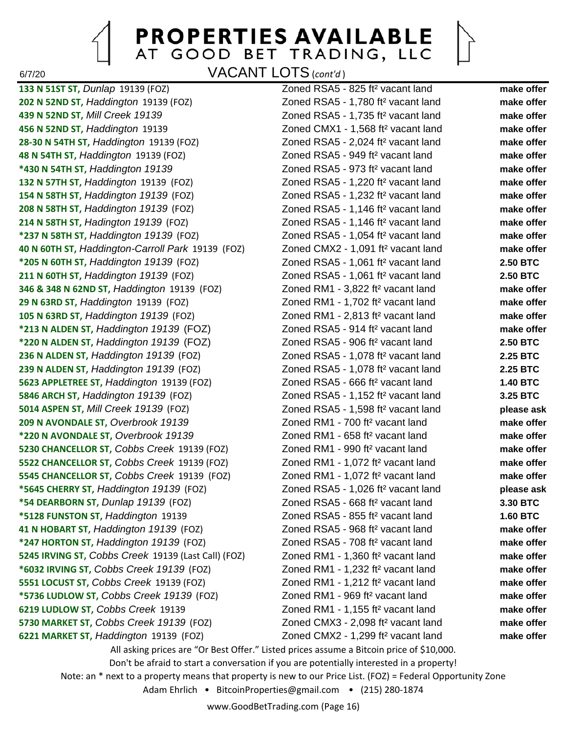6/7/20 VACANT LOTS (*cont'd* )

**133 N 51ST ST,** *Dunlap* 19139 (FOZ) Zoned RSA5 - 825 ft² vacant land **make offer 202 N 52ND ST,** *Haddington* 19139 (FOZ) Zoned RSA5 - 1,780 ft² vacant land **make offer 439 N 52ND ST,** *Mill Creek 19139* Zoned RSA5 - 1,735 ft² vacant land **make offer 456 N 52ND ST,** *Haddington* 19139 Zoned CMX1 - 1,568 ft² vacant land **make offer 28-30 N 54TH ST,** *Haddington* 19139 (FOZ) Zoned RSA5 - 2,024 ft² vacant land **make offer 48 N 54TH ST,** *Haddington* 19139 (FOZ) Zoned RSA5 - 949 ft² vacant land **make offer \*430 N 54TH ST,** *Haddington 19139* Zoned RSA5 - 973 ft² vacant land **make offer 132 N 57TH ST,** *Haddington* 19139 (FOZ) Zoned RSA5 - 1,220 ft² vacant land **make offer 154 N 58TH ST,** *Haddington 19139* (FOZ) Zoned RSA5 - 1,232 ft² vacant land **make offer 208 N 58TH ST,** *Haddington 19139* (FOZ) Zoned RSA5 - 1,146 ft² vacant land **make offer 214 N 58TH ST,** *Hadington 19139* (FOZ) Zoned RSA5 - 1,146 ft² vacant land **make offer \*237 N 58TH ST,** *Haddington 19139* (FOZ) Zoned RSA5 - 1,054 ft² vacant land **make offer 40 N 60TH ST,** *Haddington-Carroll Park* 19139 (FOZ) Zoned CMX2 - 1,091 ft² vacant land **make offer \*205 N 60TH ST,** *Haddington 19139* (FOZ) Zoned RSA5 - 1,061 ft² vacant land **2.50 BTC 211 N 60TH ST,** *Haddington 19139* (FOZ) Zoned RSA5 - 1,061 ft² vacant land **2.50 BTC 346 & 348 N 62ND ST,** *Haddington* 19139 (FOZ) Zoned RM1 - 3,822 ft² vacant land **make offer 29 N 63RD ST,** *Haddington* 19139 (FOZ) Zoned RM1 - 1,702 ft² vacant land **make offer 105 N 63RD ST,** *Haddington 19139* (FOZ) Zoned RM1 - 2,813 ft² vacant land **make offer \*213 N ALDEN ST,** *Haddington 19139* (FOZ) Zoned RSA5 - 914 ft² vacant land **make offer \*220 N ALDEN ST,** *Haddington 19139* (FOZ) Zoned RSA5 - 906 ft² vacant land **2.50 BTC 236 N ALDEN ST,** *Haddington 19139* (FOZ) Zoned RSA5 - 1,078 ft² vacant land **2.25 BTC 239 N ALDEN ST,** *Haddington 19139* (FOZ) Zoned RSA5 - 1,078 ft² vacant land **2.25 BTC 5623 APPLETREE ST,** *Haddington* 19139 (FOZ) Zoned RSA5 - 666 ft² vacant land **1.40 BTC 5846 ARCH ST,** *Haddington 19139* (FOZ) Zoned RSA5 - 1,152 ft² vacant land **3.25 BTC 5014 ASPEN ST,** *Mill Creek 19139* (FOZ) Zoned RSA5 - 1,598 ft² vacant land **please ask 209 N AVONDALE ST,** *Overbrook 19139* Zoned RM1 - 700 ft² vacant land **make offer \*220 N AVONDALE ST,** *Overbrook 19139* Zoned RM1 - 658 ft² vacant land **make offer 5230 CHANCELLOR ST,** *Cobbs Creek* 19139 (FOZ) Zoned RM1 - 990 ft² vacant land **make offer 5522 CHANCELLOR ST,** *Cobbs Creek* 19139 (FOZ) Zoned RM1 - 1,072 ft² vacant land **make offer 5545 CHANCELLOR ST,** *Cobbs Creek* 19139 (FOZ) Zoned RM1 - 1,072 ft² vacant land **make offer \*5645 CHERRY ST,** *Haddington 19139* (FOZ) Zoned RSA5 - 1,026 ft² vacant land **please ask \*54 DEARBORN ST,** *Dunlap 19139* (FOZ) Zoned RSA5 - 668 ft² vacant land **3.30 BTC \*5128 FUNSTON ST,** *Haddington* 19139 Zoned RSA5 - 855 ft² vacant land **1.60 BTC 41 N HOBART ST,** *Haddington 19139* (FOZ) Zoned RSA5 - 968 ft² vacant land **make offer \*247 HORTON ST,** *Haddington 19139* (FOZ) Zoned RSA5 - 708 ft² vacant land **make offer 5245 IRVING ST,** *Cobbs Creek* 19139 (Last Call) (FOZ) Zoned RM1 - 1,360 ft² vacant land **make offer \*6032 IRVING ST,** *Cobbs Creek 19139* (FOZ) Zoned RM1 - 1,232 ft² vacant land **make offer 5551 LOCUST ST,** *Cobbs Creek* 19139 (FOZ) Zoned RM1 - 1,212 ft² vacant land **make offer \*5736 LUDLOW ST,** *Cobbs Creek 19139* (FOZ) Zoned RM1 - 969 ft² vacant land **make offer 6219 LUDLOW ST,** *Cobbs Creek* 19139 Zoned RM1 - 1,155 ft² vacant land **make offer 5730 MARKET ST,** *Cobbs Creek 19139* (FOZ) Zoned CMX3 - 2,098 ft² vacant land **make offer 6221 MARKET ST,** *Haddington* 19139 (FOZ) Zoned CMX2 - 1,299 ft² vacant land **make offer**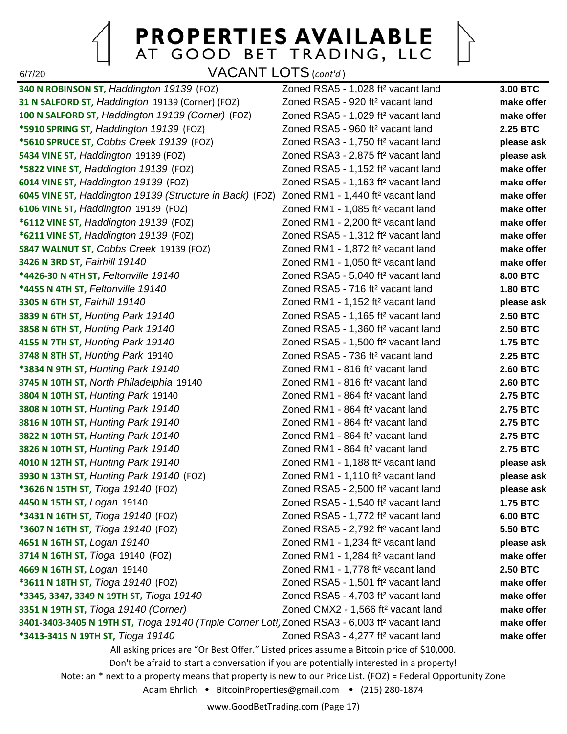6/7/20 VACANT LOTS (*cont'd* )

**340 N ROBINSON ST,** *Haddington 19139* (FOZ) Zoned RSA5 - 1,028 ft² vacant land **3.00 BTC 31 N SALFORD ST,** *Haddington* 19139 (Corner) (FOZ) Zoned RSA5 - 920 ft² vacant land **make offer 100 N SALFORD ST,** *Haddington 19139 (Corner)* (FOZ) Zoned RSA5 - 1,029 ft² vacant land **make offer \*5910 SPRING ST,** *Haddington 19139* (FOZ) Zoned RSA5 - 960 ft² vacant land **2.25 BTC \*5610 SPRUCE ST,** *Cobbs Creek 19139* (FOZ) Zoned RSA3 - 1,750 ft² vacant land **please ask 5434 VINE ST,** *Haddington* 19139 (FOZ) Zoned RSA3 - 2,875 ft² vacant land **please ask \*5822 VINE ST,** *Haddington 19139* (FOZ) Zoned RSA5 - 1,152 ft² vacant land **make offer 6014 VINE ST,** *Haddington 19139* (FOZ) Zoned RSA5 - 1,163 ft² vacant land **make offer 6045 VINE ST,** *Haddington 19139 (Structure in Back)* (FOZ) Zoned RM1 - 1,440 ft² vacant land **make offer 6106 VINE ST,** *Haddington* 19139 (FOZ) Zoned RM1 - 1,085 ft² vacant land **make offer \*6112 VINE ST,** *Haddington 19139* (FOZ) Zoned RM1 - 2,200 ft² vacant land **make offer \*6211 VINE ST,** *Haddington 19139* (FOZ) Zoned RSA5 - 1,312 ft² vacant land **make offer 5847 WALNUT ST,** *Cobbs Creek* 19139 (FOZ) Zoned RM1 - 1,872 ft² vacant land **make offer 3426 N 3RD ST,** *Fairhill 19140* Zoned RM1 - 1,050 ft² vacant land **make offer \*4426-30 N 4TH ST,** *Feltonville 19140* Zoned RSA5 - 5,040 ft² vacant land **8.00 BTC \*4455 N 4TH ST,** *Feltonville 19140* Zoned RSA5 - 716 ft² vacant land **1.80 BTC 3305 N 6TH ST,** *Fairhill 19140* Zoned RM1 - 1,152 ft² vacant land **please ask 3839 N 6TH ST,** *Hunting Park 19140* Zoned RSA5 - 1,165 ft² vacant land **2.50 BTC 3858 N 6TH ST,** *Hunting Park 19140* Zoned RSA5 - 1,360 ft² vacant land **2.50 BTC 4155 N 7TH ST,** *Hunting Park 19140* Zoned RSA5 - 1,500 ft² vacant land **1.75 BTC 3748 N 8TH ST,** *Hunting Park* 19140 Zoned RSA5 - 736 ft² vacant land **2.25 BTC \*3834 N 9TH ST,** *Hunting Park 19140* Zoned RM1 - 816 ft² vacant land **2.60 BTC 3745 N 10TH ST,** *North Philadelphia* 19140 Zoned RM1 - 816 ft² vacant land **2.60 BTC 3804 N 10TH ST,** *Hunting Park* 19140 Zoned RM1 - 864 ft² vacant land **2.75 BTC 3808 N 10TH ST,** *Hunting Park 19140* Zoned RM1 - 864 ft² vacant land **2.75 BTC 3816 N 10TH ST,** *Hunting Park 19140* Zoned RM1 - 864 ft² vacant land **2.75 BTC 3822 N 10TH ST,** *Hunting Park 19140* Zoned RM1 - 864 ft² vacant land **2.75 BTC 3826 N 10TH ST,** *Hunting Park 19140* Zoned RM1 - 864 ft² vacant land **2.75 BTC 4010 N 12TH ST,** *Hunting Park 19140* Zoned RM1 - 1,188 ft² vacant land **please ask 3930 N 13TH ST,** *Hunting Park 19140* (FOZ) Zoned RM1 - 1,110 ft² vacant land **please ask \*3626 N 15TH ST,** *Tioga 19140* (FOZ) Zoned RSA5 - 2,500 ft² vacant land **please ask 4450 N 15TH ST,** *Logan* 19140 Zoned RSA5 - 1,540 ft² vacant land **1.75 BTC \*3431 N 16TH ST,** *Tioga 19140* (FOZ) Zoned RSA5 - 1,772 ft² vacant land **6.00 BTC \*3607 N 16TH ST,** *Tioga 19140* (FOZ) Zoned RSA5 - 2,792 ft² vacant land **5.50 BTC 4651 N 16TH ST,** *Logan 19140* Zoned RM1 - 1,234 ft² vacant land **please ask 3714 N 16TH ST,** *Tioga* 19140 (FOZ) Zoned RM1 - 1,284 ft² vacant land **make offer 4669 N 16TH ST,** *Logan* 19140 Zoned RM1 - 1,778 ft² vacant land **2.50 BTC \*3611 N 18TH ST,** *Tioga 19140* (FOZ) Zoned RSA5 - 1,501 ft² vacant land **make offer \*3345, 3347, 3349 N 19TH ST,** *Tioga 19140* Zoned RSA5 - 4,703 ft² vacant land **make offer 3351 N 19TH ST,** *Tioga 19140 (Corner)* Zoned CMX2 - 1,566 ft² vacant land **make offer 3401-3403-3405 N 19TH ST,** *Tioga 19140 (Triple Corner Lot!)*Zoned RSA3 - 6,003 ft² vacant land **make offer \*3413-3415 N 19TH ST,** *Tioga 19140* Zoned RSA3 - 4,277 ft² vacant land **make offer** All asking prices are "Or Best Offer." Listed prices assume a Bitcoin price of \$10,000. Don't be afraid to start a conversation if you are potentially interested in a property! Note: an \* next to a property means that property is new to our Price List. (FOZ) = Federal Opportunity Zone Adam Ehrlich • BitcoinProperties@gmail.com • (215) 280-1874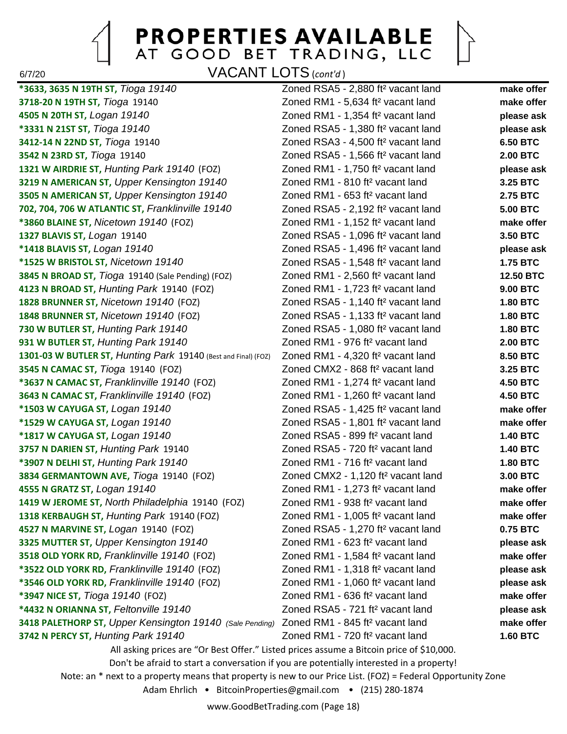

6/7/20 VACANT LOTS (*cont'd* )

**\*3633, 3635 N 19TH ST,** *Tioga 19140* Zoned RSA5 - 2,880 ft² vacant land **make offer 3718-20 N 19TH ST,** *Tioga* 19140 Zoned RM1 - 5,634 ft² vacant land **make offer 4505 N 20TH ST,** *Logan 19140* Zoned RM1 - 1,354 ft² vacant land **please ask \*3331 N 21ST ST,** *Tioga 19140* Zoned RSA5 - 1,380 ft² vacant land **please ask 3412-14 N 22ND ST,** *Tioga* 19140 Zoned RSA3 - 4,500 ft² vacant land **6.50 BTC 3542 N 23RD ST,** *Tioga* 19140 Zoned RSA5 - 1,566 ft² vacant land **2.00 BTC 1321 W AIRDRIE ST,** *Hunting Park 19140* (FOZ) Zoned RM1 - 1,750 ft² vacant land **please ask 3219 N AMERICAN ST,** *Upper Kensington 19140* Zoned RM1 - 810 ft² vacant land **3.25 BTC 3505 N AMERICAN ST,** *Upper Kensington 19140* Zoned RM1 - 653 ft² vacant land **2.75 BTC 702, 704, 706 W ATLANTIC ST,** *Franklinville 19140* Zoned RSA5 - 2,192 ft² vacant land **5.00 BTC \*3860 BLAINE ST,** *Nicetown 19140* (FOZ) Zoned RM1 - 1,152 ft² vacant land **make offer 1327 BLAVIS ST,** *Logan* 19140 Zoned RSA5 - 1,096 ft² vacant land **3.50 BTC \*1418 BLAVIS ST,** *Logan 19140* Zoned RSA5 - 1,496 ft² vacant land **please ask \*1525 W BRISTOL ST,** *Nicetown 19140* Zoned RSA5 - 1,548 ft² vacant land **1.75 BTC 3845 N BROAD ST,** *Tioga* 19140 (Sale Pending) (FOZ) Zoned RM1 - 2,560 ft² vacant land **12.50 BTC 4123 N BROAD ST,** *Hunting Park* 19140 (FOZ) Zoned RM1 - 1,723 ft² vacant land **9.00 BTC 1828 BRUNNER ST,** *Nicetown 19140* (FOZ) Zoned RSA5 - 1,140 ft² vacant land **1.80 BTC 1848 BRUNNER ST,** *Nicetown 19140* (FOZ) Zoned RSA5 - 1,133 ft² vacant land **1.80 BTC 730 W BUTLER ST,** *Hunting Park 19140* Zoned RSA5 - 1,080 ft² vacant land **1.80 BTC 931 W BUTLER ST,** *Hunting Park 19140* Zoned RM1 - 976 ft² vacant land **2.00 BTC 1301-03 W BUTLER ST,** *Hunting Park* 19140 (Best and Final) (FOZ) Zoned RM1 - 4,320 ft² vacant land **8.50 BTC 3545 N CAMAC ST,** *Tioga* 19140 (FOZ) Zoned CMX2 - 868 ft² vacant land **3.25 BTC \*3637 N CAMAC ST,** *Franklinville 19140* (FOZ) Zoned RM1 - 1,274 ft² vacant land **4.50 BTC 3643 N CAMAC ST,** *Franklinville 19140* (FOZ) Zoned RM1 - 1,260 ft² vacant land **4.50 BTC \*1503 W CAYUGA ST,** *Logan 19140* Zoned RSA5 - 1,425 ft² vacant land **make offer \*1529 W CAYUGA ST,** *Logan 19140* Zoned RSA5 - 1,801 ft² vacant land **make offer \*1817 W CAYUGA ST,** *Logan 19140* Zoned RSA5 - 899 ft² vacant land **1.40 BTC 3757 N DARIEN ST,** *Hunting Park* 19140 Zoned RSA5 - 720 ft² vacant land **1.40 BTC \*3907 N DELHI ST,** *Hunting Park 19140* Zoned RM1 - 716 ft² vacant land **1.80 BTC 3834 GERMANTOWN AVE,** *Tioga* 19140 (FOZ) Zoned CMX2 - 1,120 ft² vacant land **3.00 BTC 4555 N GRATZ ST,** *Logan 19140* Zoned RM1 - 1,273 ft² vacant land **make offer 1419 W JEROME ST,** *North Philadelphia* 19140 (FOZ) Zoned RM1 - 938 ft² vacant land **make offer 1318 KERBAUGH ST,** *Hunting Park* 19140 (FOZ) Zoned RM1 - 1,005 ft² vacant land **make offer 4527 N MARVINE ST,** *Logan* 19140 (FOZ) Zoned RSA5 - 1,270 ft² vacant land **0.75 BTC 3325 MUTTER ST,** *Upper Kensington 19140* Zoned RM1 - 623 ft² vacant land **please ask 3518 OLD YORK RD,** *Franklinville 19140* (FOZ) Zoned RM1 - 1,584 ft² vacant land **make offer \*3522 OLD YORK RD,** *Franklinville 19140* (FOZ) Zoned RM1 - 1,318 ft² vacant land **please ask \*3546 OLD YORK RD,** *Franklinville 19140* (FOZ) Zoned RM1 - 1,060 ft² vacant land **please ask \*3947 NICE ST,** *Tioga 19140* (FOZ) Zoned RM1 - 636 ft² vacant land **make offer \*4432 N ORIANNA ST,** *Feltonville 19140* Zoned RSA5 - 721 ft² vacant land **please ask 3418 PALETHORP ST,** *Upper Kensington 19140 (Sale Pending)* Zoned RM1 - 845 ft² vacant land **make offer 3742 N PERCY ST,** *Hunting Park 19140* Zoned RM1 - 720 ft² vacant land **1.60 BTC** All asking prices are "Or Best Offer." Listed prices assume a Bitcoin price of \$10,000. Don't be afraid to start a conversation if you are potentially interested in a property!

Note: an \* next to a property means that property is new to our Price List. (FOZ) = Federal Opportunity Zone

Adam Ehrlich • BitcoinProperties@gmail.com • (215) 280-1874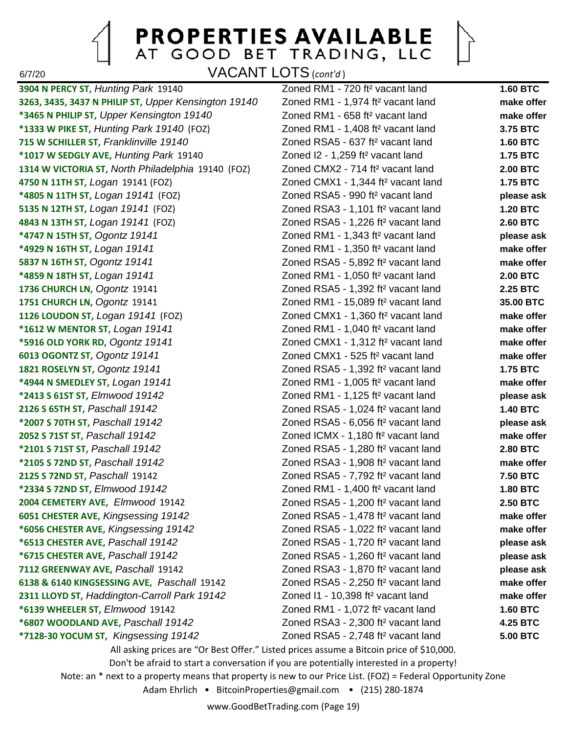6/7/20 VACANT LOTS (*cont'd* )

**3904 N PERCY ST,** *Hunting Park* 19140 Zoned RM1 - 720 ft² vacant land **1.60 BTC 3263, 3435, 3437 N PHILIP ST,** *Upper Kensington 19140* Zoned RM1 - 1,974 ft² vacant land **make offer \*3465 N PHILIP ST,** *Upper Kensington 19140* Zoned RM1 - 658 ft² vacant land **make offer \*1333 W PIKE ST,** *Hunting Park 19140* (FOZ) Zoned RM1 - 1,408 ft² vacant land **3.75 BTC 715 W SCHILLER ST,** *Franklinville 19140* Zoned RSA5 - 637 ft² vacant land **1.60 BTC \*1017 W SEDGLY AVE,** *Hunting Park* 19140 Zoned I2 - 1,259 ft² vacant land **1.75 BTC 1314 W VICTORIA ST,** *North Philadelphia* 19140 (FOZ) Zoned CMX2 - 714 ft² vacant land **2.00 BTC 4750 N 11TH ST,** *Logan* 19141 (FOZ) Zoned CMX1 - 1,344 ft² vacant land **1.75 BTC \*4805 N 11TH ST,** *Logan 19141* (FOZ) Zoned RSA5 - 990 ft² vacant land **please ask 5135 N 12TH ST,** *Logan 19141* (FOZ) Zoned RSA3 - 1,101 ft² vacant land **1.20 BTC 4843 N 13TH ST,** *Logan 19141* (FOZ) Zoned RSA5 - 1,226 ft² vacant land **2.60 BTC \*4747 N 15TH ST,** *Ogontz 19141* Zoned RM1 - 1,343 ft² vacant land **please ask \*4929 N 16TH ST,** *Logan 19141* Zoned RM1 - 1,350 ft² vacant land **make offer 5837 N 16TH ST,** *Ogontz 19141* Zoned RSA5 - 5,892 ft² vacant land **make offer \*4859 N 18TH ST,** *Logan 19141* Zoned RM1 - 1,050 ft² vacant land **2.00 BTC 1736 CHURCH LN,** *Ogontz* 19141 Zoned RSA5 - 1,392 ft² vacant land **2.25 BTC 1751 CHURCH LN,** *Ogontz* 19141 Zoned RM1 - 15,089 ft² vacant land **35.00 BTC 1126 LOUDON ST,** *Logan 19141* (FOZ) Zoned CMX1 - 1,360 ft² vacant land **make offer \*1612 W MENTOR ST,** *Logan 19141* Zoned RM1 - 1,040 ft² vacant land **make offer \*5916 OLD YORK RD,** *Ogontz 19141* Zoned CMX1 - 1,312 ft² vacant land **make offer 6013 OGONTZ ST,** *Ogontz 19141* Zoned CMX1 - 525 ft² vacant land **make offer 1821 ROSELYN ST,** *Ogontz 19141* Zoned RSA5 - 1,392 ft² vacant land **1.75 BTC \*4944 N SMEDLEY ST,** *Logan 19141* Zoned RM1 - 1,005 ft² vacant land **make offer \*2413 S 61ST ST,** *Elmwood 19142* Zoned RM1 - 1,125 ft² vacant land **please ask 2126 S 65TH ST,** *Paschall 19142* Zoned RSA5 - 1,024 ft² vacant land **1.40 BTC \*2007 S 70TH ST,** *Paschall 19142* Zoned RSA5 - 6,056 ft² vacant land **please ask 2052 S 71ST ST,** *Paschall 19142* Zoned ICMX - 1,180 ft² vacant land **make offer \*2101 S 71ST ST,** *Paschall 19142* Zoned RSA5 - 1,280 ft² vacant land **2.80 BTC \*2105 S 72ND ST,** *Paschall 19142* Zoned RSA3 - 1,908 ft² vacant land **make offer 2125 S 72ND ST,** *Paschall* 19142 Zoned RSA5 - 7,792 ft² vacant land **7.50 BTC \*2334 S 72ND ST,** *Elmwood 19142* Zoned RM1 - 1,400 ft² vacant land **1.80 BTC 2004 CEMETERY AVE,** *Elmwood* 19142 Zoned RSA5 - 1,200 ft² vacant land **2.50 BTC 6051 CHESTER AVE,** *Kingsessing 19142* Zoned RSA5 - 1,478 ft² vacant land **make offer \*6056 CHESTER AVE,** *Kingsessing 19142* Zoned RSA5 - 1,022 ft² vacant land **make offer \*6513 CHESTER AVE,** *Paschall 19142* Zoned RSA5 - 1,720 ft² vacant land **please ask \*6715 CHESTER AVE,** *Paschall 19142* Zoned RSA5 - 1,260 ft² vacant land **please ask 7112 GREENWAY AVE,** *Paschall* 19142 Zoned RSA3 - 1,870 ft² vacant land **please ask 6138 & 6140 KINGSESSING AVE,** *Paschall* 19142 Zoned RSA5 - 2,250 ft² vacant land **make offer 2311 LLOYD ST,** *Haddington-Carroll Park 19142* Zoned I1 - 10,398 ft² vacant land **make offer \*6139 WHEELER ST,** *Elmwood* 19142 Zoned RM1 - 1,072 ft² vacant land **1.60 BTC \*6807 WOODLAND AVE,** *Paschall 19142* Zoned RSA3 - 2,300 ft² vacant land **4.25 BTC \*7128-30 YOCUM ST,** *Kingsessing 19142* Zoned RSA5 - 2,748 ft² vacant land **5.00 BTC**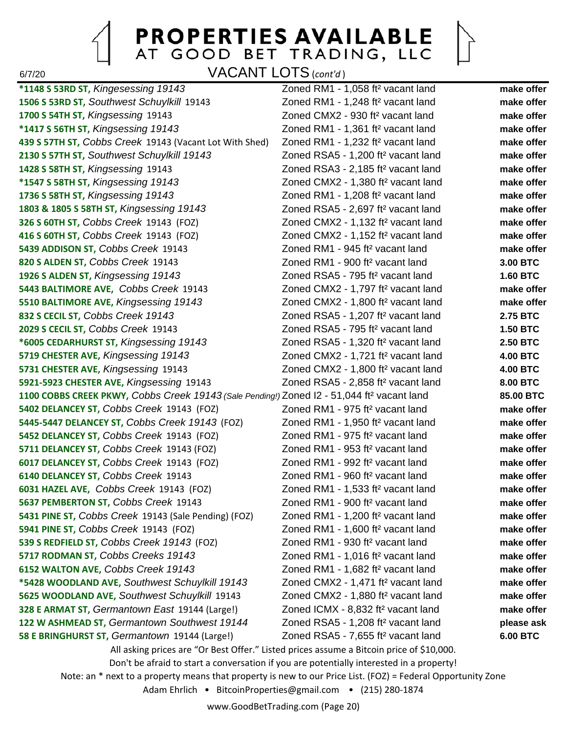6/7/20 VACANT LOTS (*cont'd* )

**\*1148 S 53RD ST,** *Kingesessing 19143* Zoned RM1 - 1,058 ft² vacant land **make offer 1506 S 53RD ST,** *Southwest Schuylkill* 19143 Zoned RM1 - 1,248 ft² vacant land **make offer 1700 S 54TH ST,** *Kingsessing* 19143 Zoned CMX2 - 930 ft² vacant land **make offer \*1417 S 56TH ST,** *Kingsessing 19143* Zoned RM1 - 1,361 ft² vacant land **make offer 439 S 57TH ST,** *Cobbs Creek* 19143 (Vacant Lot With Shed) Zoned RM1 - 1,232 ft² vacant land **make offer 2130 S 57TH ST,** *Southwest Schuylkill 19143* Zoned RSA5 - 1,200 ft² vacant land **make offer 1428 S 58TH ST,** *Kingsessing* 19143 Zoned RSA3 - 2,185 ft² vacant land **make offer \*1547 S 58TH ST,** *Kingsessing 19143* Zoned CMX2 - 1,380 ft² vacant land **make offer 1736 S 58TH ST,** *Kingsessing 19143* Zoned RM1 - 1,208 ft² vacant land **make offer 1803 & 1805 S 58TH ST,** *Kingsessing 19143* Zoned RSA5 - 2,697 ft² vacant land **make offer 326 S 60TH ST,** *Cobbs Creek* 19143 (FOZ) Zoned CMX2 - 1,132 ft² vacant land **make offer 416 S 60TH ST,** *Cobbs Creek* 19143 (FOZ) Zoned CMX2 - 1,152 ft² vacant land **make offer 5439 ADDISON ST,** *Cobbs Creek* 19143 Zoned RM1 - 945 ft² vacant land **make offer 820 S ALDEN ST,** *Cobbs Creek* 19143 Zoned RM1 - 900 ft² vacant land **3.00 BTC 1926 S ALDEN ST,** *Kingsessing 19143* Zoned RSA5 - 795 ft² vacant land **1.60 BTC 5443 BALTIMORE AVE,** *Cobbs Creek* 19143 Zoned CMX2 - 1,797 ft² vacant land **make offer 5510 BALTIMORE AVE,** *Kingsessing 19143* Zoned CMX2 - 1,800 ft² vacant land **make offer 832 S CECIL ST,** *Cobbs Creek 19143* Zoned RSA5 - 1,207 ft² vacant land **2.75 BTC 2029 S CECIL ST,** *Cobbs Creek* 19143 Zoned RSA5 - 795 ft² vacant land **1.50 BTC \*6005 CEDARHURST ST,** *Kingsessing 19143* Zoned RSA5 - 1,320 ft² vacant land **2.50 BTC 5719 CHESTER AVE,** *Kingsessing 19143* Zoned CMX2 - 1,721 ft² vacant land **4.00 BTC 5731 CHESTER AVE,** *Kingsessing* 19143 Zoned CMX2 - 1,800 ft² vacant land **4.00 BTC 5921-5923 CHESTER AVE,** *Kingsessing* 19143 Zoned RSA5 - 2,858 ft² vacant land **8.00 BTC 1100 COBBS CREEK PKWY,** *Cobbs Creek 19143 (Sale Pending!)* Zoned I2 - 51,044 ft² vacant land **85.00 BTC 5402 DELANCEY ST,** *Cobbs Creek* 19143 (FOZ) Zoned RM1 - 975 ft² vacant land **make offer 5445-5447 DELANCEY ST,** *Cobbs Creek 19143* (FOZ) Zoned RM1 - 1,950 ft² vacant land **make offer 5452 DELANCEY ST,** *Cobbs Creek* 19143 (FOZ) Zoned RM1 - 975 ft² vacant land **make offer 5711 DELANCEY ST,** *Cobbs Creek* 19143 (FOZ) Zoned RM1 - 953 ft² vacant land **make offer 6017 DELANCEY ST,** *Cobbs Creek* 19143 (FOZ) Zoned RM1 - 992 ft² vacant land **make offer 6140 DELANCEY ST,** *Cobbs Creek* 19143 Zoned RM1 - 960 ft² vacant land **make offer 6031 HAZEL AVE,** *Cobbs Creek* 19143 (FOZ) Zoned RM1 - 1,533 ft² vacant land **make offer 5637 PEMBERTON ST,** *Cobbs Creek* 19143 Zoned RM1 - 900 ft² vacant land **make offer 5431 PINE ST,** *Cobbs Creek* 19143 (Sale Pending) (FOZ) Zoned RM1 - 1,200 ft² vacant land **make offer 5941 PINE ST,** *Cobbs Creek* 19143 (FOZ) Zoned RM1 - 1,600 ft² vacant land **make offer 539 S REDFIELD ST,** *Cobbs Creek 19143* (FOZ) Zoned RM1 - 930 ft² vacant land **make offer 5717 RODMAN ST,** *Cobbs Creeks 19143* Zoned RM1 - 1,016 ft² vacant land **make offer 6152 WALTON AVE,** *Cobbs Creek 19143* Zoned RM1 - 1,682 ft² vacant land **make offer \*5428 WOODLAND AVE,** *Southwest Schuylkill 19143* Zoned CMX2 - 1,471 ft² vacant land **make offer 5625 WOODLAND AVE,** *Southwest Schuylkill* 19143 Zoned CMX2 - 1,880 ft² vacant land **make offer 328 E ARMAT ST,** *Germantown East* 19144 (Large!) Zoned ICMX - 8,832 ft² vacant land **make offer 122 W ASHMEAD ST,** *Germantown Southwest 19144* Zoned RSA5 - 1,208 ft² vacant land **please ask 58 E BRINGHURST ST,** *Germantown* 19144 (Large!) Zoned RSA5 - 7,655 ft² vacant land **6.00 BTC**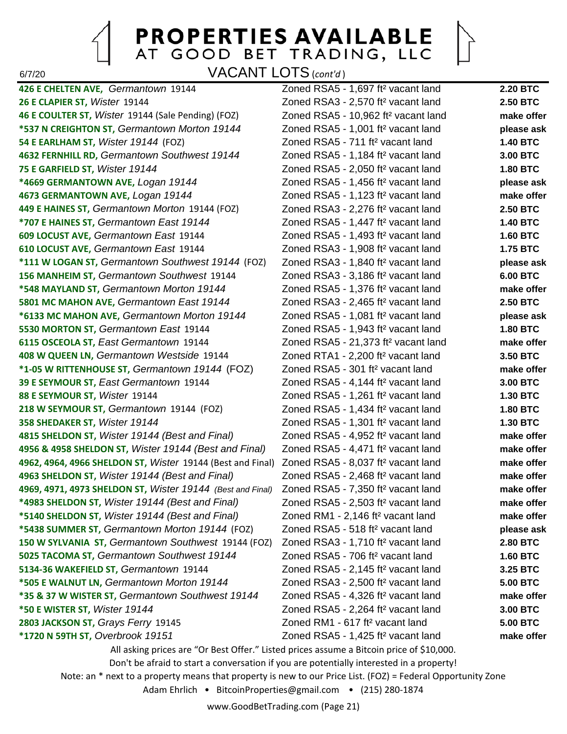6/7/20 VACANT LOTS (*cont'd* )

**426 E CHELTEN AVE,** *Germantown* 19144 Zoned RSA5 - 1,697 ft² vacant land **2.20 BTC 26 E CLAPIER ST,** *Wister* 19144 Zoned RSA3 - 2,570 ft² vacant land **2.50 BTC 46 E COULTER ST,** *Wister* 19144 (Sale Pending) (FOZ) Zoned RSA5 - 10,962 ft² vacant land **make offer \*537 N CREIGHTON ST,** *Germantown Morton 19144* Zoned RSA5 - 1,001 ft² vacant land **please ask 54 E EARLHAM ST,** *Wister 19144* (FOZ) Zoned RSA5 - 711 ft² vacant land **1.40 BTC 4632 FERNHILL RD,** *Germantown Southwest 19144* Zoned RSA5 - 1,184 ft² vacant land **3.00 BTC 75 E GARFIELD ST,** *Wister 19144* Zoned RSA5 - 2,050 ft² vacant land **1.80 BTC \*4669 GERMANTOWN AVE,** *Logan 19144* Zoned RSA5 - 1,456 ft² vacant land **please ask 4673 GERMANTOWN AVE,** *Logan 19144* Zoned RSA5 - 1,123 ft² vacant land **make offer 449 E HAINES ST,** *Germantown Morton* 19144 (FOZ) Zoned RSA3 - 2,276 ft² vacant land **2.50 BTC \*707 E HAINES ST,** *Germantown East 19144* Zoned RSA5 - 1,447 ft² vacant land **1.40 BTC 609 LOCUST AVE,** *Germantown East* 19144 Zoned RSA5 - 1,493 ft² vacant land **1.60 BTC 610 LOCUST AVE,** *Germantown East* 19144 Zoned RSA3 - 1,908 ft² vacant land **1.75 BTC \*111 W LOGAN ST,** *Germantown Southwest 19144* (FOZ) Zoned RSA3 - 1,840 ft² vacant land **please ask 156 MANHEIM ST,** *Germantown Southwest* 19144 Zoned RSA3 - 3,186 ft² vacant land **6.00 BTC \*548 MAYLAND ST,** *Germantown Morton 19144* Zoned RSA5 - 1,376 ft² vacant land **make offer 5801 MC MAHON AVE,** *Germantown East 19144* Zoned RSA3 - 2,465 ft² vacant land **2.50 BTC \*6133 MC MAHON AVE,** *Germantown Morton 19144* Zoned RSA5 - 1,081 ft² vacant land **please ask 5530 MORTON ST,** *Germantown East* 19144 Zoned RSA5 - 1,943 ft² vacant land **1.80 BTC 6115 OSCEOLA ST,** *East Germantown* 19144 Zoned RSA5 - 21,373 ft² vacant land **make offer 408 W QUEEN LN,** *Germantown Westside* 19144 Zoned RTA1 - 2,200 ft² vacant land **3.50 BTC \*1-05 W RITTENHOUSE ST,** *Germantown 19144* (FOZ) Zoned RSA5 - 301 ft² vacant land **make offer 39 E SEYMOUR ST,** *East Germantown* 19144 Zoned RSA5 - 4,144 ft² vacant land **3.00 BTC 88 E SEYMOUR ST,** *Wister* 19144 Zoned RSA5 - 1,261 ft² vacant land **1.30 BTC 218 W SEYMOUR ST,** *Germantown* 19144 (FOZ) Zoned RSA5 - 1,434 ft² vacant land **1.80 BTC 358 SHEDAKER ST,** *Wister 19144* Zoned RSA5 - 1,301 ft² vacant land **1.30 BTC 4815 SHELDON ST,** *Wister 19144 (Best and Final)* Zoned RSA5 - 4,952 ft² vacant land **make offer 4956 & 4958 SHELDON ST,** *Wister 19144 (Best and Final)* Zoned RSA5 - 4,471 ft² vacant land **make offer 4962, 4964, 4966 SHELDON ST,** *Wister* 19144 (Best and Final) Zoned RSA5 - 8,037 ft² vacant land **make offer 4963 SHELDON ST,** *Wister 19144 (Best and Final)* Zoned RSA5 - 2,468 ft² vacant land **make offer 4969, 4971, 4973 SHELDON ST,** *Wister 19144 (Best and Final)* Zoned RSA5 - 7,350 ft² vacant land **make offer \*4983 SHELDON ST,** *Wister 19144 (Best and Final)* Zoned RSA5 - 2,503 ft² vacant land **make offer \*5140 SHELDON ST,** *Wister 19144 (Best and Final)* Zoned RM1 - 2,146 ft² vacant land **make offer \*5438 SUMMER ST,** *Germantown Morton 19144* (FOZ) Zoned RSA5 - 518 ft² vacant land **please ask 150 W SYLVANIA ST,** *Germantown Southwest* 19144 (FOZ) Zoned RSA3 - 1,710 ft² vacant land **2.80 BTC 5025 TACOMA ST,** *Germantown Southwest 19144* Zoned RSA5 - 706 ft² vacant land **1.60 BTC 5134-36 WAKEFIELD ST,** *Germantown* 19144 Zoned RSA5 - 2,145 ft² vacant land **3.25 BTC \*505 E WALNUT LN,** *Germantown Morton 19144* Zoned RSA3 - 2,500 ft² vacant land **5.00 BTC \*35 & 37 W WISTER ST,** *Germantown Southwest 19144* Zoned RSA5 - 4,326 ft² vacant land **make offer \*50 E WISTER ST,** *Wister 19144* Zoned RSA5 - 2,264 ft² vacant land **3.00 BTC 2803 JACKSON ST,** *Grays Ferry* 19145 Zoned RM1 - 617 ft² vacant land **5.00 BTC \*1720 N 59TH ST,** *Overbrook 19151* Zoned RSA5 - 1,425 ft² vacant land **make offer**